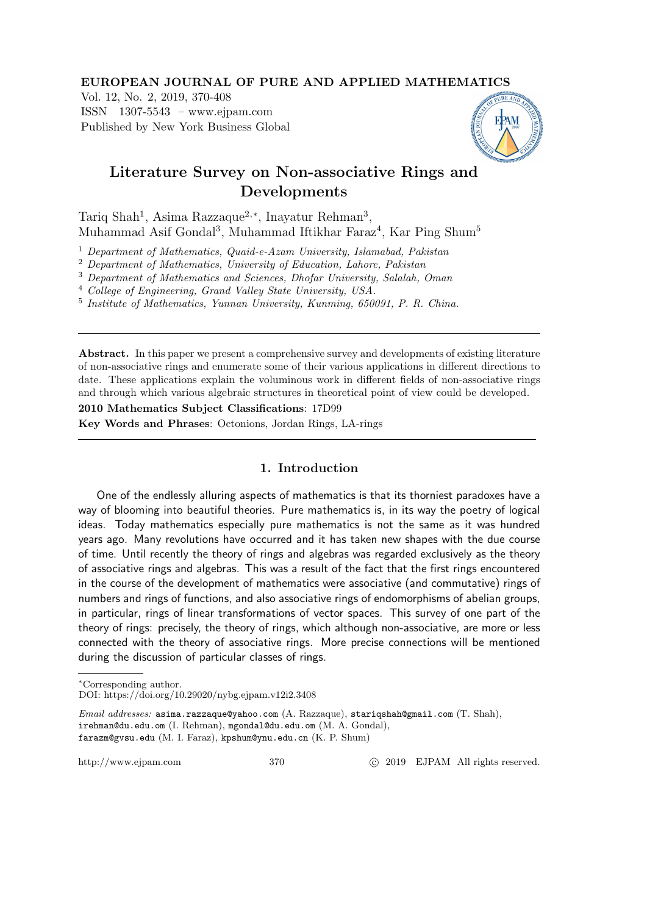#### EUROPEAN JOURNAL OF PURE AND APPLIED MATHEMATICS

Vol. 12, No. 2, 2019, 370-408 ISSN 1307-5543 – www.ejpam.com Published by New York Business Global



# Literature Survey on Non-associative Rings and Developments

Tariq Shah<sup>1</sup>, Asima Razzaque<sup>2,∗</sup>, Inayatur Rehman<sup>3</sup>, Muhammad Asif Gondal<sup>3</sup>, Muhammad Iftikhar Faraz<sup>4</sup>, Kar Ping Shum<sup>5</sup>

<sup>1</sup> Department of Mathematics, Quaid-e-Azam University, Islamabad, Pakistan

<sup>2</sup> Department of Mathematics, University of Education, Lahore, Pakistan

<sup>3</sup> Department of Mathematics and Sciences, Dhofar University, Salalah, Oman

<sup>4</sup> College of Engineering, Grand Valley State University, USA.

5 Institute of Mathematics, Yunnan University, Kunming, 650091, P. R. China.

Abstract. In this paper we present a comprehensive survey and developments of existing literature of non-associative rings and enumerate some of their various applications in different directions to date. These applications explain the voluminous work in different fields of non-associative rings and through which various algebraic structures in theoretical point of view could be developed.

2010 Mathematics Subject Classifications: 17D99 Key Words and Phrases: Octonions, Jordan Rings, LA-rings

## 1. Introduction

One of the endlessly alluring aspects of mathematics is that its thorniest paradoxes have a way of blooming into beautiful theories. Pure mathematics is, in its way the poetry of logical ideas. Today mathematics especially pure mathematics is not the same as it was hundred years ago. Many revolutions have occurred and it has taken new shapes with the due course of time. Until recently the theory of rings and algebras was regarded exclusively as the theory of associative rings and algebras. This was a result of the fact that the first rings encountered in the course of the development of mathematics were associative (and commutative) rings of numbers and rings of functions, and also associative rings of endomorphisms of abelian groups, in particular, rings of linear transformations of vector spaces. This survey of one part of the theory of rings: precisely, the theory of rings, which although non-associative, are more or less connected with the theory of associative rings. More precise connections will be mentioned during the discussion of particular classes of rings.

<sup>∗</sup>Corresponding author.

DOI: https://doi.org/10.29020/nybg.ejpam.v12i2.3408

Email addresses: asima.razzaque@yahoo.com (A. Razzaque), stariqshah@gmail.com (T. Shah), irehman@du.edu.om (I. Rehman), mgondal@du.edu.om (M. A. Gondal), farazm@gvsu.edu (M. I. Faraz), kpshum@ynu.edu.cn (K. P. Shum)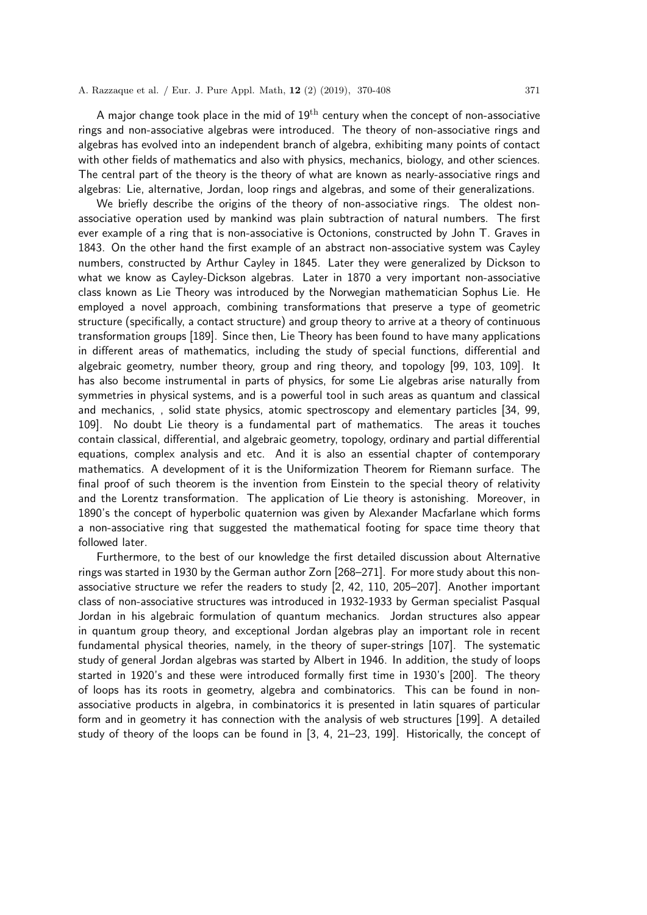A major change took place in the mid of  $19<sup>th</sup>$  century when the concept of non-associative rings and non-associative algebras were introduced. The theory of non-associative rings and algebras has evolved into an independent branch of algebra, exhibiting many points of contact with other fields of mathematics and also with physics, mechanics, biology, and other sciences. The central part of the theory is the theory of what are known as nearly-associative rings and algebras: Lie, alternative, Jordan, loop rings and algebras, and some of their generalizations.

We briefly describe the origins of the theory of non-associative rings. The oldest nonassociative operation used by mankind was plain subtraction of natural numbers. The first ever example of a ring that is non-associative is Octonions, constructed by John T. Graves in 1843. On the other hand the first example of an abstract non-associative system was Cayley numbers, constructed by Arthur Cayley in 1845. Later they were generalized by Dickson to what we know as Cayley-Dickson algebras. Later in 1870 a very important non-associative class known as Lie Theory was introduced by the Norwegian mathematician Sophus Lie. He employed a novel approach, combining transformations that preserve a type of geometric structure (specifically, a contact structure) and group theory to arrive at a theory of continuous transformation groups [189]. Since then, Lie Theory has been found to have many applications in different areas of mathematics, including the study of special functions, differential and algebraic geometry, number theory, group and ring theory, and topology [99, 103, 109]. It has also become instrumental in parts of physics, for some Lie algebras arise naturally from symmetries in physical systems, and is a powerful tool in such areas as quantum and classical and mechanics, , solid state physics, atomic spectroscopy and elementary particles [34, 99, 109]. No doubt Lie theory is a fundamental part of mathematics. The areas it touches contain classical, differential, and algebraic geometry, topology, ordinary and partial differential equations, complex analysis and etc. And it is also an essential chapter of contemporary mathematics. A development of it is the Uniformization Theorem for Riemann surface. The final proof of such theorem is the invention from Einstein to the special theory of relativity and the Lorentz transformation. The application of Lie theory is astonishing. Moreover, in 1890's the concept of hyperbolic quaternion was given by Alexander Macfarlane which forms a non-associative ring that suggested the mathematical footing for space time theory that followed later.

Furthermore, to the best of our knowledge the first detailed discussion about Alternative rings was started in 1930 by the German author Zorn [268–271]. For more study about this nonassociative structure we refer the readers to study [2, 42, 110, 205–207]. Another important class of non-associative structures was introduced in 1932-1933 by German specialist Pasqual Jordan in his algebraic formulation of quantum mechanics. Jordan structures also appear in quantum group theory, and exceptional Jordan algebras play an important role in recent fundamental physical theories, namely, in the theory of super-strings [107]. The systematic study of general Jordan algebras was started by Albert in 1946. In addition, the study of loops started in 1920's and these were introduced formally first time in 1930's [200]. The theory of loops has its roots in geometry, algebra and combinatorics. This can be found in nonassociative products in algebra, in combinatorics it is presented in latin squares of particular form and in geometry it has connection with the analysis of web structures [199]. A detailed study of theory of the loops can be found in [3, 4, 21–23, 199]. Historically, the concept of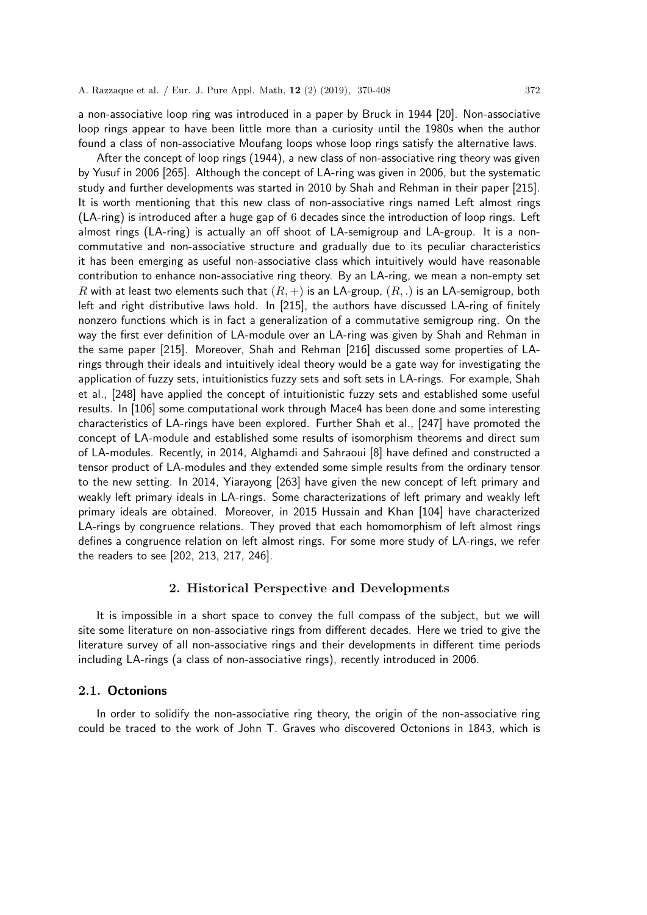a non-associative loop ring was introduced in a paper by Bruck in 1944 [20]. Non-associative loop rings appear to have been little more than a curiosity until the 1980s when the author found a class of non-associative Moufang loops whose loop rings satisfy the alternative laws.

After the concept of loop rings (1944), a new class of non-associative ring theory was given by Yusuf in 2006 [265]. Although the concept of LA-ring was given in 2006, but the systematic study and further developments was started in 2010 by Shah and Rehman in their paper [215]. It is worth mentioning that this new class of non-associative rings named Left almost rings (LA-ring) is introduced after a huge gap of 6 decades since the introduction of loop rings. Left almost rings (LA-ring) is actually an off shoot of LA-semigroup and LA-group. It is a noncommutative and non-associative structure and gradually due to its peculiar characteristics it has been emerging as useful non-associative class which intuitively would have reasonable contribution to enhance non-associative ring theory. By an LA-ring, we mean a non-empty set R with at least two elements such that  $(R, +)$  is an LA-group,  $(R, .)$  is an LA-semigroup, both left and right distributive laws hold. In [215], the authors have discussed LA-ring of finitely nonzero functions which is in fact a generalization of a commutative semigroup ring. On the way the first ever definition of LA-module over an LA-ring was given by Shah and Rehman in the same paper [215]. Moreover, Shah and Rehman [216] discussed some properties of LArings through their ideals and intuitively ideal theory would be a gate way for investigating the application of fuzzy sets, intuitionistics fuzzy sets and soft sets in LA-rings. For example, Shah et al., [248] have applied the concept of intuitionistic fuzzy sets and established some useful results. In [106] some computational work through Mace4 has been done and some interesting characteristics of LA-rings have been explored. Further Shah et al., [247] have promoted the concept of LA-module and established some results of isomorphism theorems and direct sum of LA-modules. Recently, in 2014, Alghamdi and Sahraoui [8] have defined and constructed a tensor product of LA-modules and they extended some simple results from the ordinary tensor to the new setting. In 2014, Yiarayong [263] have given the new concept of left primary and weakly left primary ideals in LA-rings. Some characterizations of left primary and weakly left primary ideals are obtained. Moreover, in 2015 Hussain and Khan [104] have characterized LA-rings by congruence relations. They proved that each homomorphism of left almost rings defines a congruence relation on left almost rings. For some more study of LA-rings, we refer the readers to see [202, 213, 217, 246].

#### 2. Historical Perspective and Developments

It is impossible in a short space to convey the full compass of the subject, but we will site some literature on non-associative rings from different decades. Here we tried to give the literature survey of all non-associative rings and their developments in different time periods including LA-rings (a class of non-associative rings), recently introduced in 2006.

#### 2.1. Octonions

In order to solidify the non-associative ring theory, the origin of the non-associative ring could be traced to the work of John T. Graves who discovered Octonions in 1843, which is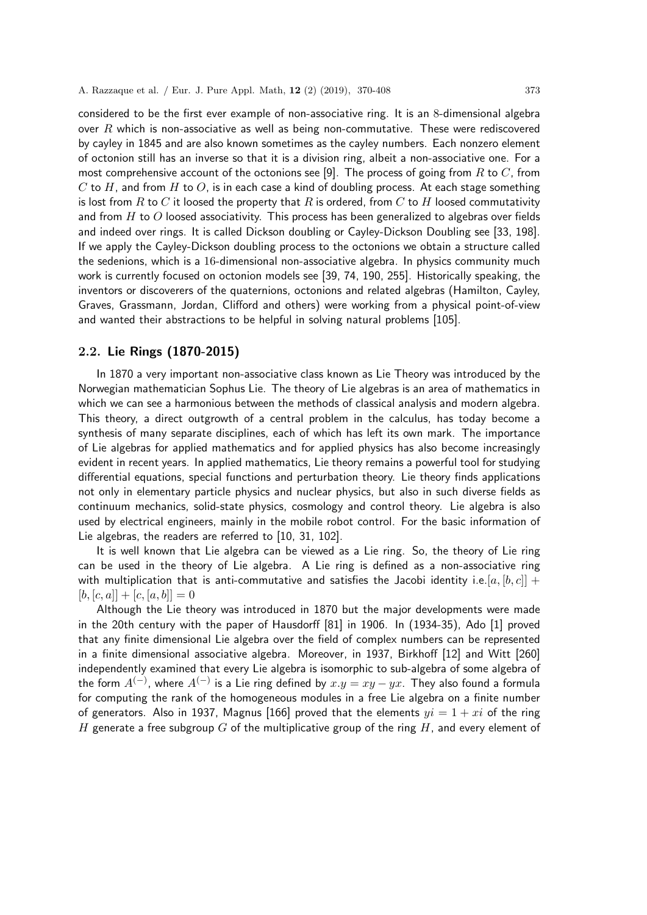considered to be the first ever example of non-associative ring. It is an 8-dimensional algebra over  $R$  which is non-associative as well as being non-commutative. These were rediscovered by cayley in 1845 and are also known sometimes as the cayley numbers. Each nonzero element of octonion still has an inverse so that it is a division ring, albeit a non-associative one. For a most comprehensive account of the octonions see [9]. The process of going from  $R$  to  $C$ , from C to H, and from H to O, is in each case a kind of doubling process. At each stage something is lost from R to C it loosed the property that R is ordered, from C to H loosed commutativity and from  $H$  to  $O$  loosed associativity. This process has been generalized to algebras over fields and indeed over rings. It is called Dickson doubling or Cayley-Dickson Doubling see [33, 198]. If we apply the Cayley-Dickson doubling process to the octonions we obtain a structure called the sedenions, which is a 16-dimensional non-associative algebra. In physics community much work is currently focused on octonion models see [39, 74, 190, 255]. Historically speaking, the inventors or discoverers of the quaternions, octonions and related algebras (Hamilton, Cayley, Graves, Grassmann, Jordan, Clifford and others) were working from a physical point-of-view and wanted their abstractions to be helpful in solving natural problems [105].

## 2.2. Lie Rings (1870-2015)

In 1870 a very important non-associative class known as Lie Theory was introduced by the Norwegian mathematician Sophus Lie. The theory of Lie algebras is an area of mathematics in which we can see a harmonious between the methods of classical analysis and modern algebra. This theory, a direct outgrowth of a central problem in the calculus, has today become a synthesis of many separate disciplines, each of which has left its own mark. The importance of Lie algebras for applied mathematics and for applied physics has also become increasingly evident in recent years. In applied mathematics, Lie theory remains a powerful tool for studying differential equations, special functions and perturbation theory. Lie theory finds applications not only in elementary particle physics and nuclear physics, but also in such diverse fields as continuum mechanics, solid-state physics, cosmology and control theory. Lie algebra is also used by electrical engineers, mainly in the mobile robot control. For the basic information of Lie algebras, the readers are referred to [10, 31, 102].

It is well known that Lie algebra can be viewed as a Lie ring. So, the theory of Lie ring can be used in the theory of Lie algebra. A Lie ring is defined as a non-associative ring with multiplication that is anti-commutative and satisfies the Jacobi identity i.e.  $[a, [b, c]] +$  $[b, [c, a]] + [c, [a, b]] = 0$ 

Although the Lie theory was introduced in 1870 but the major developments were made in the 20th century with the paper of Hausdorff [81] in 1906. In (1934-35), Ado [1] proved that any finite dimensional Lie algebra over the field of complex numbers can be represented in a finite dimensional associative algebra. Moreover, in 1937, Birkhoff [12] and Witt [260] independently examined that every Lie algebra is isomorphic to sub-algebra of some algebra of the form  $A^{(-)}$ , where  $A^{(-)}$  is a Lie ring defined by  $x.y = xy - yx$ . They also found a formula for computing the rank of the homogeneous modules in a free Lie algebra on a finite number of generators. Also in 1937, Magnus [166] proved that the elements  $yi = 1 + xi$  of the ring H generate a free subgroup G of the multiplicative group of the ring H, and every element of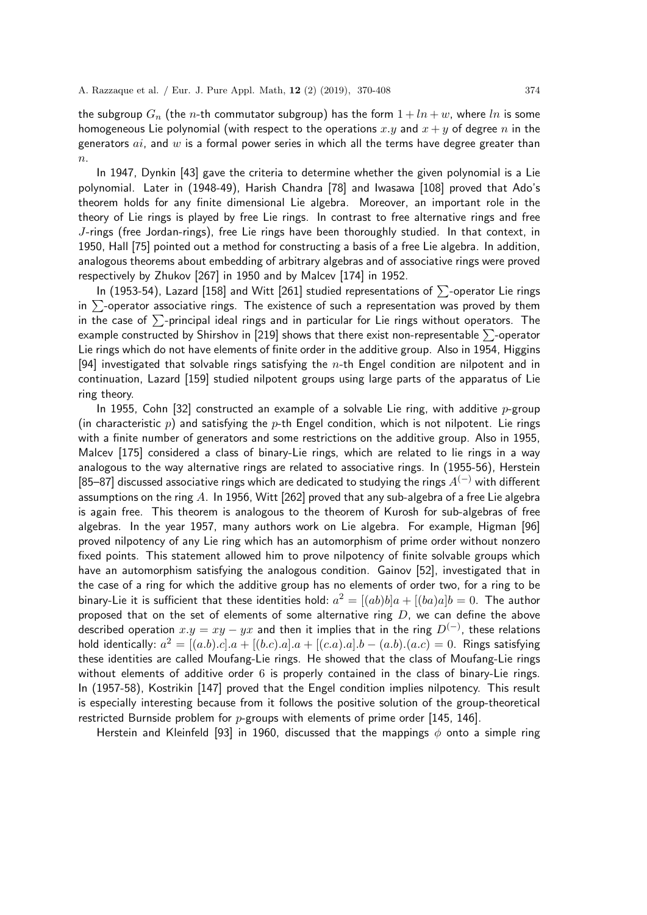the subgroup  $G_n$  (the *n*-th commutator subgroup) has the form  $1 + ln + w$ , where ln is some homogeneous Lie polynomial (with respect to the operations x, y and  $x + y$  of degree n in the generators  $ai$ , and  $w$  is a formal power series in which all the terms have degree greater than  $\overline{n}$ .

In 1947, Dynkin [43] gave the criteria to determine whether the given polynomial is a Lie polynomial. Later in (1948-49), Harish Chandra [78] and Iwasawa [108] proved that Ado's theorem holds for any finite dimensional Lie algebra. Moreover, an important role in the theory of Lie rings is played by free Lie rings. In contrast to free alternative rings and free J-rings (free Jordan-rings), free Lie rings have been thoroughly studied. In that context, in 1950, Hall [75] pointed out a method for constructing a basis of a free Lie algebra. In addition, analogous theorems about embedding of arbitrary algebras and of associative rings were proved respectively by Zhukov [267] in 1950 and by Malcev [174] in 1952.

In (1953-54), Lazard [158] and Witt [261] studied representations of  $\Sigma$ -operator Lie rings in  $\Sigma$ -operator associative rings. The existence of such a representation was proved by them in the case of  $\Sigma$ -principal ideal rings and in particular for Lie rings without operators. The example constructed by Shirshov in [219] shows that there exist non-representable  $\Sigma$ -operator Lie rings which do not have elements of finite order in the additive group. Also in 1954, Higgins [94] investigated that solvable rings satisfying the  $n$ -th Engel condition are nilpotent and in continuation, Lazard [159] studied nilpotent groups using large parts of the apparatus of Lie ring theory.

In 1955, Cohn [32] constructed an example of a solvable Lie ring, with additive  $p$ -group (in characteristic p) and satisfying the p-th Engel condition, which is not nilpotent. Lie rings with a finite number of generators and some restrictions on the additive group. Also in 1955, Malcev [175] considered a class of binary-Lie rings, which are related to lie rings in a way analogous to the way alternative rings are related to associative rings. In (1955-56), Herstein [85–87] discussed associative rings which are dedicated to studying the rings  $A^{(-)}$  with different assumptions on the ring A. In 1956, Witt [262] proved that any sub-algebra of a free Lie algebra is again free. This theorem is analogous to the theorem of Kurosh for sub-algebras of free algebras. In the year 1957, many authors work on Lie algebra. For example, Higman [96] proved nilpotency of any Lie ring which has an automorphism of prime order without nonzero fixed points. This statement allowed him to prove nilpotency of finite solvable groups which have an automorphism satisfying the analogous condition. Gainov [52], investigated that in the case of a ring for which the additive group has no elements of order two, for a ring to be binary-Lie it is sufficient that these identities hold:  $a^2 = [(ab)b]a + [(ba)a]b = 0$ . The author proposed that on the set of elements of some alternative ring  $D$ , we can define the above described operation  $x.y = xy - yx$  and then it implies that in the ring  $D^{(-)}$ , these relations hold identically:  $a^2 = [(a.b).c].a + [(b.c).a].a + [(c.a).a].b - (a.b). (a.c) = 0$ . Rings satisfying these identities are called Moufang-Lie rings. He showed that the class of Moufang-Lie rings without elements of additive order 6 is properly contained in the class of binary-Lie rings. In (1957-58), Kostrikin [147] proved that the Engel condition implies nilpotency. This result is especially interesting because from it follows the positive solution of the group-theoretical restricted Burnside problem for  $p$ -groups with elements of prime order [145, 146].

Herstein and Kleinfeld [93] in 1960, discussed that the mappings  $\phi$  onto a simple ring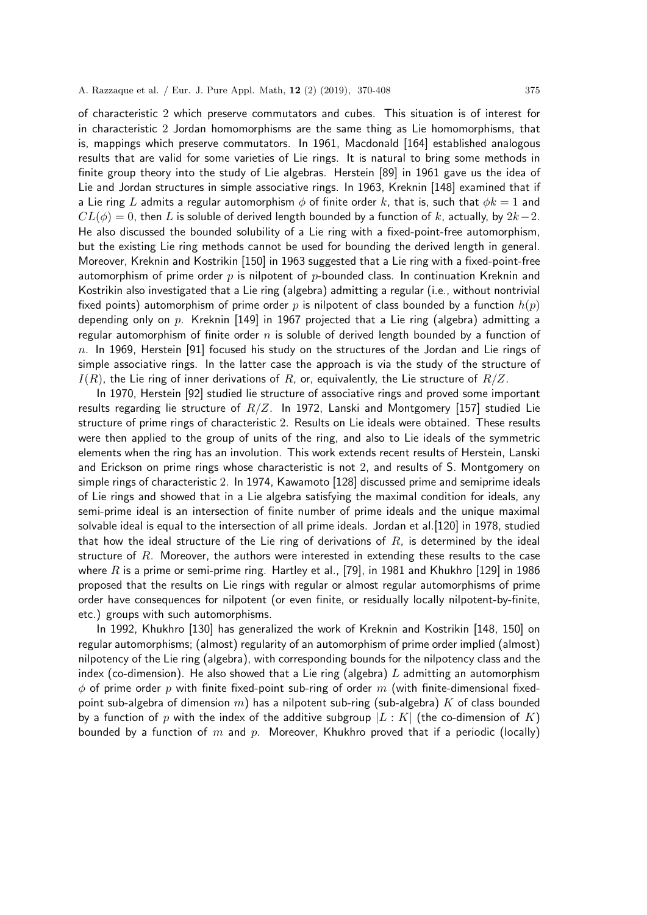of characteristic 2 which preserve commutators and cubes. This situation is of interest for in characteristic 2 Jordan homomorphisms are the same thing as Lie homomorphisms, that is, mappings which preserve commutators. In 1961, Macdonald [164] established analogous results that are valid for some varieties of Lie rings. It is natural to bring some methods in finite group theory into the study of Lie algebras. Herstein [89] in 1961 gave us the idea of Lie and Jordan structures in simple associative rings. In 1963, Kreknin [148] examined that if a Lie ring L admits a regular automorphism  $\phi$  of finite order k, that is, such that  $\phi k = 1$  and  $CL(\phi) = 0$ , then L is soluble of derived length bounded by a function of k, actually, by  $2k-2$ . He also discussed the bounded solubility of a Lie ring with a fixed-point-free automorphism, but the existing Lie ring methods cannot be used for bounding the derived length in general. Moreover, Kreknin and Kostrikin [150] in 1963 suggested that a Lie ring with a fixed-point-free automorphism of prime order  $p$  is nilpotent of  $p$ -bounded class. In continuation Kreknin and Kostrikin also investigated that a Lie ring (algebra) admitting a regular (i.e., without nontrivial fixed points) automorphism of prime order p is nilpotent of class bounded by a function  $h(p)$ depending only on p. Kreknin [149] in 1967 projected that a Lie ring (algebra) admitting a regular automorphism of finite order  $n$  is soluble of derived length bounded by a function of  $n.$  In 1969, Herstein [91] focused his study on the structures of the Jordan and Lie rings of simple associative rings. In the latter case the approach is via the study of the structure of  $I(R)$ , the Lie ring of inner derivations of R, or, equivalently, the Lie structure of  $R/Z$ .

In 1970, Herstein [92] studied lie structure of associative rings and proved some important results regarding lie structure of  $R/Z$ . In 1972, Lanski and Montgomery [157] studied Lie structure of prime rings of characteristic 2. Results on Lie ideals were obtained. These results were then applied to the group of units of the ring, and also to Lie ideals of the symmetric elements when the ring has an involution. This work extends recent results of Herstein, Lanski and Erickson on prime rings whose characteristic is not 2, and results of S. Montgomery on simple rings of characteristic 2. In 1974, Kawamoto [128] discussed prime and semiprime ideals of Lie rings and showed that in a Lie algebra satisfying the maximal condition for ideals, any semi-prime ideal is an intersection of finite number of prime ideals and the unique maximal solvable ideal is equal to the intersection of all prime ideals. Jordan et al.[120] in 1978, studied that how the ideal structure of the Lie ring of derivations of  $R$ , is determined by the ideal structure of  $R$ . Moreover, the authors were interested in extending these results to the case where R is a prime or semi-prime ring. Hartley et al., [79], in 1981 and Khukhro [129] in 1986 proposed that the results on Lie rings with regular or almost regular automorphisms of prime order have consequences for nilpotent (or even finite, or residually locally nilpotent-by-finite, etc.) groups with such automorphisms.

In 1992, Khukhro [130] has generalized the work of Kreknin and Kostrikin [148, 150] on regular automorphisms; (almost) regularity of an automorphism of prime order implied (almost) nilpotency of the Lie ring (algebra), with corresponding bounds for the nilpotency class and the index (co-dimension). He also showed that a Lie ring (algebra)  $L$  admitting an automorphism  $\phi$  of prime order p with finite fixed-point sub-ring of order m (with finite-dimensional fixedpoint sub-algebra of dimension m) has a nilpotent sub-ring (sub-algebra) K of class bounded by a function of p with the index of the additive subgroup  $|L : K|$  (the co-dimension of K) bounded by a function of m and p. Moreover, Khukhro proved that if a periodic (locally)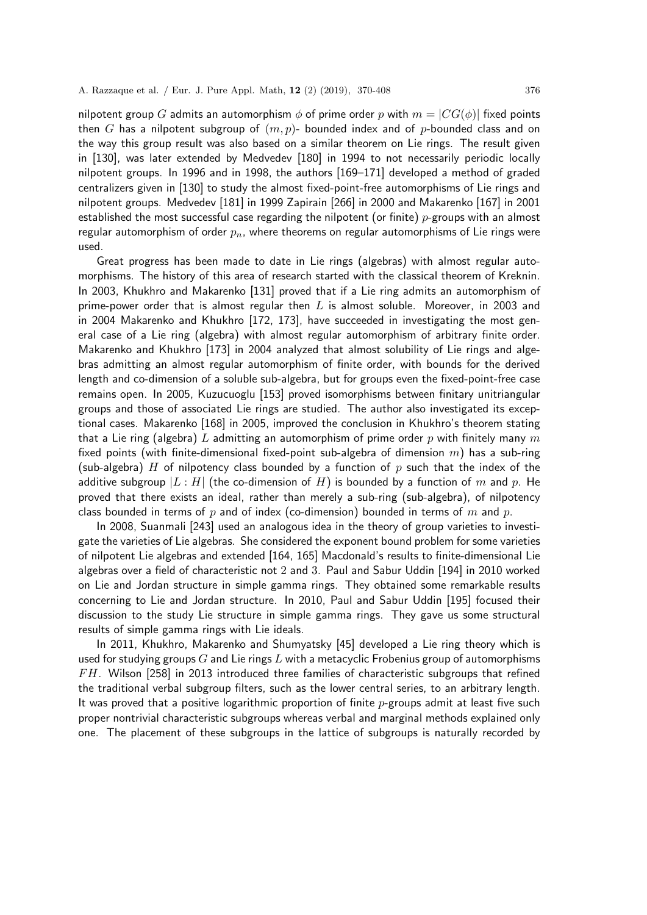nilpotent group G admits an automorphism  $\phi$  of prime order p with  $m = |CG(\phi)|$  fixed points then G has a nilpotent subgroup of  $(m, p)$ - bounded index and of p-bounded class and on the way this group result was also based on a similar theorem on Lie rings. The result given in [130], was later extended by Medvedev [180] in 1994 to not necessarily periodic locally nilpotent groups. In 1996 and in 1998, the authors [169–171] developed a method of graded centralizers given in [130] to study the almost fixed-point-free automorphisms of Lie rings and nilpotent groups. Medvedev [181] in 1999 Zapirain [266] in 2000 and Makarenko [167] in 2001 established the most successful case regarding the nilpotent (or finite)  $p$ -groups with an almost regular automorphism of order  $p_n$ , where theorems on regular automorphisms of Lie rings were used.

Great progress has been made to date in Lie rings (algebras) with almost regular automorphisms. The history of this area of research started with the classical theorem of Kreknin. In 2003, Khukhro and Makarenko [131] proved that if a Lie ring admits an automorphism of prime-power order that is almost regular then  $L$  is almost soluble. Moreover, in 2003 and in 2004 Makarenko and Khukhro [172, 173], have succeeded in investigating the most general case of a Lie ring (algebra) with almost regular automorphism of arbitrary finite order. Makarenko and Khukhro [173] in 2004 analyzed that almost solubility of Lie rings and algebras admitting an almost regular automorphism of finite order, with bounds for the derived length and co-dimension of a soluble sub-algebra, but for groups even the fixed-point-free case remains open. In 2005, Kuzucuoglu [153] proved isomorphisms between finitary unitriangular groups and those of associated Lie rings are studied. The author also investigated its exceptional cases. Makarenko [168] in 2005, improved the conclusion in Khukhro's theorem stating that a Lie ring (algebra) L admitting an automorphism of prime order p with finitely many m fixed points (with finite-dimensional fixed-point sub-algebra of dimension  $m$ ) has a sub-ring (sub-algebra) H of nilpotency class bounded by a function of  $p$  such that the index of the additive subgroup  $|L : H|$  (the co-dimension of H) is bounded by a function of m and p. He proved that there exists an ideal, rather than merely a sub-ring (sub-algebra), of nilpotency class bounded in terms of p and of index (co-dimension) bounded in terms of m and p.

In 2008, Suanmali [243] used an analogous idea in the theory of group varieties to investigate the varieties of Lie algebras. She considered the exponent bound problem for some varieties of nilpotent Lie algebras and extended [164, 165] Macdonald's results to finite-dimensional Lie algebras over a field of characteristic not 2 and 3. Paul and Sabur Uddin [194] in 2010 worked on Lie and Jordan structure in simple gamma rings. They obtained some remarkable results concerning to Lie and Jordan structure. In 2010, Paul and Sabur Uddin [195] focused their discussion to the study Lie structure in simple gamma rings. They gave us some structural results of simple gamma rings with Lie ideals.

In 2011, Khukhro, Makarenko and Shumyatsky [45] developed a Lie ring theory which is used for studying groups  $G$  and Lie rings  $L$  with a metacyclic Frobenius group of automorphisms  $FH$ . Wilson [258] in 2013 introduced three families of characteristic subgroups that refined the traditional verbal subgroup filters, such as the lower central series, to an arbitrary length. It was proved that a positive logarithmic proportion of finite  $p$ -groups admit at least five such proper nontrivial characteristic subgroups whereas verbal and marginal methods explained only one. The placement of these subgroups in the lattice of subgroups is naturally recorded by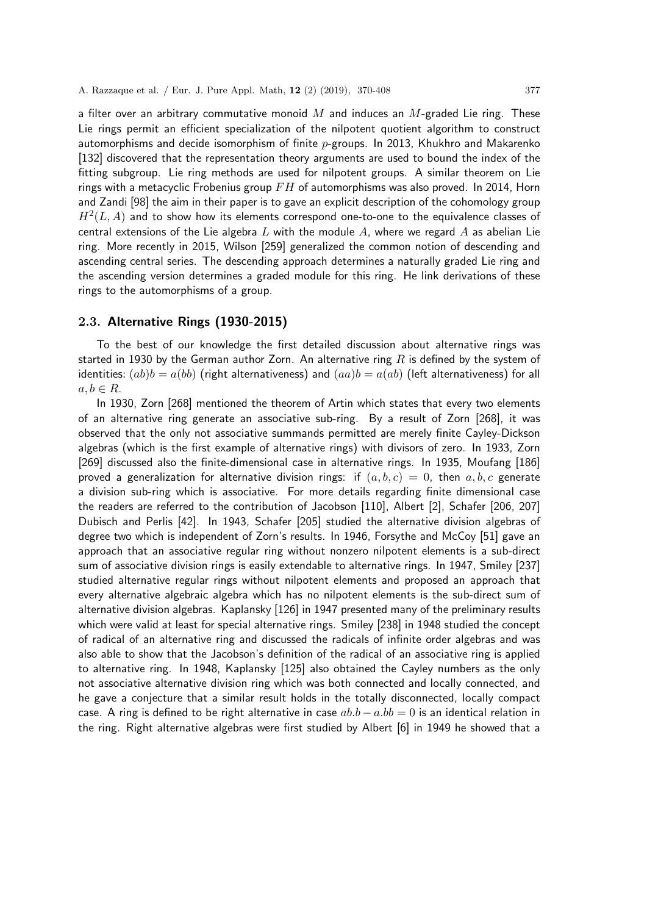a filter over an arbitrary commutative monoid  $M$  and induces an  $M$ -graded Lie ring. These Lie rings permit an efficient specialization of the nilpotent quotient algorithm to construct automorphisms and decide isomorphism of finite  $p$ -groups. In 2013, Khukhro and Makarenko [132] discovered that the representation theory arguments are used to bound the index of the fitting subgroup. Lie ring methods are used for nilpotent groups. A similar theorem on Lie rings with a metacyclic Frobenius group  $FH$  of automorphisms was also proved. In 2014, Horn and Zandi [98] the aim in their paper is to gave an explicit description of the cohomology group  $H^2(L,A)$  and to show how its elements correspond one-to-one to the equivalence classes of central extensions of the Lie algebra  $L$  with the module  $A$ , where we regard  $A$  as abelian Lie ring. More recently in 2015, Wilson [259] generalized the common notion of descending and ascending central series. The descending approach determines a naturally graded Lie ring and the ascending version determines a graded module for this ring. He link derivations of these rings to the automorphisms of a group.

#### 2.3. Alternative Rings (1930-2015)

To the best of our knowledge the first detailed discussion about alternative rings was started in 1930 by the German author Zorn. An alternative ring  $R$  is defined by the system of identities:  $(ab)b = a(bb)$  (right alternativeness) and  $(aa)b = a(ab)$  (left alternativeness) for all  $a, b \in R$ .

In 1930, Zorn [268] mentioned the theorem of Artin which states that every two elements of an alternative ring generate an associative sub-ring. By a result of Zorn [268], it was observed that the only not associative summands permitted are merely finite Cayley-Dickson algebras (which is the first example of alternative rings) with divisors of zero. In 1933, Zorn [269] discussed also the finite-dimensional case in alternative rings. In 1935, Moufang [186] proved a generalization for alternative division rings: if  $(a, b, c) = 0$ , then  $a, b, c$  generate a division sub-ring which is associative. For more details regarding finite dimensional case the readers are referred to the contribution of Jacobson [110], Albert [2], Schafer [206, 207] Dubisch and Perlis [42]. In 1943, Schafer [205] studied the alternative division algebras of degree two which is independent of Zorn's results. In 1946, Forsythe and McCoy [51] gave an approach that an associative regular ring without nonzero nilpotent elements is a sub-direct sum of associative division rings is easily extendable to alternative rings. In 1947, Smiley [237] studied alternative regular rings without nilpotent elements and proposed an approach that every alternative algebraic algebra which has no nilpotent elements is the sub-direct sum of alternative division algebras. Kaplansky [126] in 1947 presented many of the preliminary results which were valid at least for special alternative rings. Smiley [238] in 1948 studied the concept of radical of an alternative ring and discussed the radicals of infinite order algebras and was also able to show that the Jacobson's definition of the radical of an associative ring is applied to alternative ring. In 1948, Kaplansky [125] also obtained the Cayley numbers as the only not associative alternative division ring which was both connected and locally connected, and he gave a conjecture that a similar result holds in the totally disconnected, locally compact case. A ring is defined to be right alternative in case  $ab-b-a.b = 0$  is an identical relation in the ring. Right alternative algebras were first studied by Albert [6] in 1949 he showed that a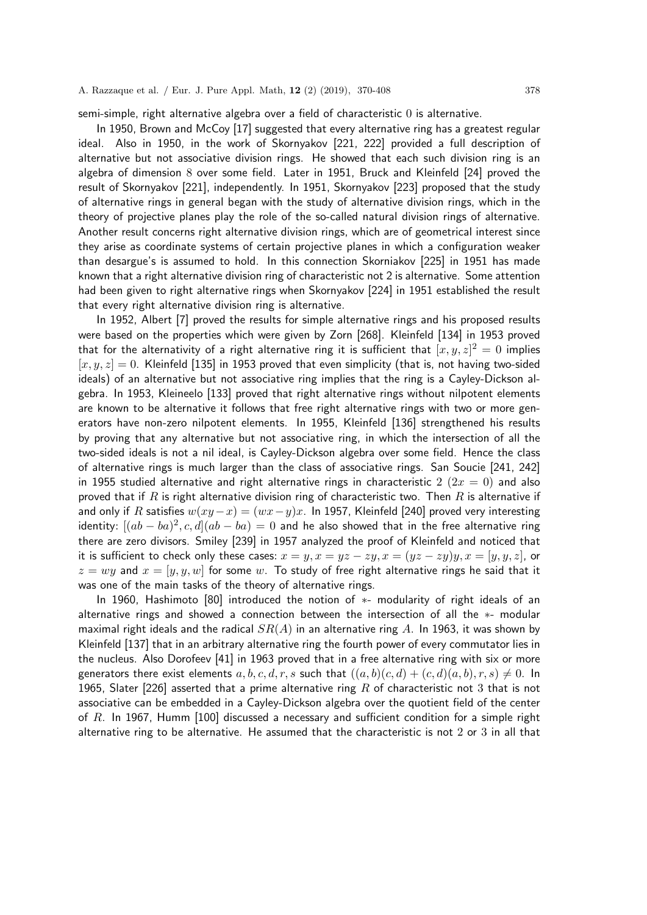semi-simple, right alternative algebra over a field of characteristic 0 is alternative.

In 1950, Brown and McCoy [17] suggested that every alternative ring has a greatest regular ideal. Also in 1950, in the work of Skornyakov [221, 222] provided a full description of alternative but not associative division rings. He showed that each such division ring is an algebra of dimension 8 over some field. Later in 1951, Bruck and Kleinfeld [24] proved the result of Skornyakov [221], independently. In 1951, Skornyakov [223] proposed that the study of alternative rings in general began with the study of alternative division rings, which in the theory of projective planes play the role of the so-called natural division rings of alternative. Another result concerns right alternative division rings, which are of geometrical interest since they arise as coordinate systems of certain projective planes in which a configuration weaker than desargue's is assumed to hold. In this connection Skorniakov [225] in 1951 has made known that a right alternative division ring of characteristic not 2 is alternative. Some attention had been given to right alternative rings when Skornyakov [224] in 1951 established the result that every right alternative division ring is alternative.

In 1952, Albert [7] proved the results for simple alternative rings and his proposed results were based on the properties which were given by Zorn [268]. Kleinfeld [134] in 1953 proved that for the alternativity of a right alternative ring it is sufficient that  $[x,y,z]^2 = 0$  implies  $[x, y, z] = 0$ . Kleinfeld [135] in 1953 proved that even simplicity (that is, not having two-sided ideals) of an alternative but not associative ring implies that the ring is a Cayley-Dickson algebra. In 1953, Kleineelo [133] proved that right alternative rings without nilpotent elements are known to be alternative it follows that free right alternative rings with two or more generators have non-zero nilpotent elements. In 1955, Kleinfeld [136] strengthened his results by proving that any alternative but not associative ring, in which the intersection of all the two-sided ideals is not a nil ideal, is Cayley-Dickson algebra over some field. Hence the class of alternative rings is much larger than the class of associative rings. San Soucie [241, 242] in 1955 studied alternative and right alternative rings in characteristic 2 ( $2x = 0$ ) and also proved that if R is right alternative division ring of characteristic two. Then R is alternative if and only if R satisfies  $w(xy-x) = (wx-y)x$ . In 1957, Kleinfeld [240] proved very interesting identity:  $[(ab - ba)^2, c, d](ab - ba) = 0$  and he also showed that in the free alternative ring there are zero divisors. Smiley [239] in 1957 analyzed the proof of Kleinfeld and noticed that it is sufficient to check only these cases:  $x = y$ ,  $x = yz - zy$ ,  $x = (yz - zy)y$ ,  $x = [y, y, z]$ , or  $z = wy$  and  $x = [y, y, w]$  for some w. To study of free right alternative rings he said that it was one of the main tasks of the theory of alternative rings.

In 1960, Hashimoto [80] introduced the notion of ∗- modularity of right ideals of an alternative rings and showed a connection between the intersection of all the ∗- modular maximal right ideals and the radical  $SR(A)$  in an alternative ring A. In 1963, it was shown by Kleinfeld [137] that in an arbitrary alternative ring the fourth power of every commutator lies in the nucleus. Also Dorofeev [41] in 1963 proved that in a free alternative ring with six or more generators there exist elements a, b, c, d, r, s such that  $((a, b)(c, d) + (c, d)(a, b), r, s) \neq 0$ . In 1965, Slater [226] asserted that a prime alternative ring R of characteristic not 3 that is not associative can be embedded in a Cayley-Dickson algebra over the quotient field of the center of  $R$ . In 1967, Humm [100] discussed a necessary and sufficient condition for a simple right alternative ring to be alternative. He assumed that the characteristic is not 2 or 3 in all that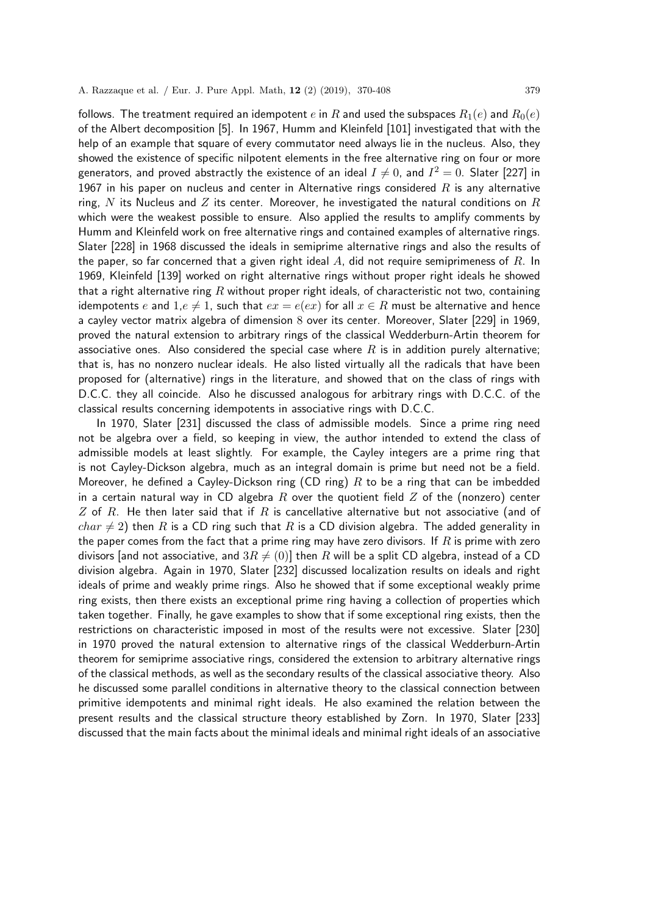follows. The treatment required an idempotent e in R and used the subspaces  $R_1(e)$  and  $R_0(e)$ of the Albert decomposition [5]. In 1967, Humm and Kleinfeld [101] investigated that with the help of an example that square of every commutator need always lie in the nucleus. Also, they showed the existence of specific nilpotent elements in the free alternative ring on four or more generators, and proved abstractly the existence of an ideal  $I\neq 0$ , and  $I^2=0.$  Slater [227] in 1967 in his paper on nucleus and center in Alternative rings considered  $R$  is any alternative ring, N its Nucleus and Z its center. Moreover, he investigated the natural conditions on R which were the weakest possible to ensure. Also applied the results to amplify comments by Humm and Kleinfeld work on free alternative rings and contained examples of alternative rings. Slater [228] in 1968 discussed the ideals in semiprime alternative rings and also the results of the paper, so far concerned that a given right ideal  $A$ , did not require semiprimeness of  $R$ . In 1969, Kleinfeld [139] worked on right alternative rings without proper right ideals he showed that a right alternative ring  $R$  without proper right ideals, of characteristic not two, containing idempotents e and 1,e  $\neq$  1, such that  $ex = e(ex)$  for all  $x \in R$  must be alternative and hence a cayley vector matrix algebra of dimension 8 over its center. Moreover, Slater [229] in 1969, proved the natural extension to arbitrary rings of the classical Wedderburn-Artin theorem for associative ones. Also considered the special case where  $R$  is in addition purely alternative; that is, has no nonzero nuclear ideals. He also listed virtually all the radicals that have been proposed for (alternative) rings in the literature, and showed that on the class of rings with D.C.C. they all coincide. Also he discussed analogous for arbitrary rings with D.C.C. of the classical results concerning idempotents in associative rings with D.C.C.

In 1970, Slater [231] discussed the class of admissible models. Since a prime ring need not be algebra over a field, so keeping in view, the author intended to extend the class of admissible models at least slightly. For example, the Cayley integers are a prime ring that is not Cayley-Dickson algebra, much as an integral domain is prime but need not be a field. Moreover, he defined a Cayley-Dickson ring (CD ring)  $R$  to be a ring that can be imbedded in a certain natural way in CD algebra R over the quotient field  $Z$  of the (nonzero) center Z of R. He then later said that if R is cancellative alternative but not associative (and of  $char \neq 2$ ) then R is a CD ring such that R is a CD division algebra. The added generality in the paper comes from the fact that a prime ring may have zero divisors. If  $R$  is prime with zero divisors [and not associative, and  $3R \neq (0)$ ] then R will be a split CD algebra, instead of a CD division algebra. Again in 1970, Slater [232] discussed localization results on ideals and right ideals of prime and weakly prime rings. Also he showed that if some exceptional weakly prime ring exists, then there exists an exceptional prime ring having a collection of properties which taken together. Finally, he gave examples to show that if some exceptional ring exists, then the restrictions on characteristic imposed in most of the results were not excessive. Slater [230] in 1970 proved the natural extension to alternative rings of the classical Wedderburn-Artin theorem for semiprime associative rings, considered the extension to arbitrary alternative rings of the classical methods, as well as the secondary results of the classical associative theory. Also he discussed some parallel conditions in alternative theory to the classical connection between primitive idempotents and minimal right ideals. He also examined the relation between the present results and the classical structure theory established by Zorn. In 1970, Slater [233] discussed that the main facts about the minimal ideals and minimal right ideals of an associative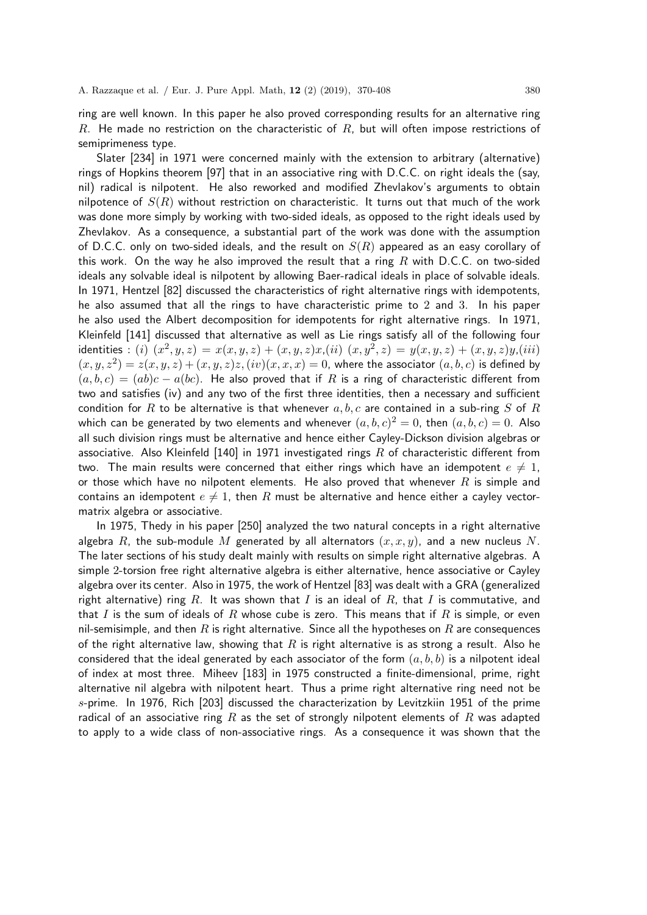ring are well known. In this paper he also proved corresponding results for an alternative ring R. He made no restriction on the characteristic of  $R$ , but will often impose restrictions of semiprimeness type.

Slater [234] in 1971 were concerned mainly with the extension to arbitrary (alternative) rings of Hopkins theorem [97] that in an associative ring with D.C.C. on right ideals the (say, nil) radical is nilpotent. He also reworked and modified Zhevlakov's arguments to obtain nilpotence of  $S(R)$  without restriction on characteristic. It turns out that much of the work was done more simply by working with two-sided ideals, as opposed to the right ideals used by Zhevlakov. As a consequence, a substantial part of the work was done with the assumption of D.C.C. only on two-sided ideals, and the result on  $S(R)$  appeared as an easy corollary of this work. On the way he also improved the result that a ring  $R$  with D.C.C. on two-sided ideals any solvable ideal is nilpotent by allowing Baer-radical ideals in place of solvable ideals. In 1971, Hentzel [82] discussed the characteristics of right alternative rings with idempotents, he also assumed that all the rings to have characteristic prime to 2 and 3. In his paper he also used the Albert decomposition for idempotents for right alternative rings. In 1971, Kleinfeld [141] discussed that alternative as well as Lie rings satisfy all of the following four identities : (i)  $(x^2, y, z) = x(x, y, z) + (x, y, z)x$ ,(ii)  $(x, y^2, z) = y(x, y, z) + (x, y, z)y$ ,(iii)  $(x, y, z^2) = z(x, y, z) + (x, y, z)z$ ,  $(iv)(x, x, x) = 0$ , where the associator  $(a, b, c)$  is defined by  $(a, b, c) = (ab)c - a(bc)$ . He also proved that if R is a ring of characteristic different from two and satisfies (iv) and any two of the first three identities, then a necessary and sufficient condition for R to be alternative is that whenever  $a, b, c$  are contained in a sub-ring S of R which can be generated by two elements and whenever  $(a,b,c)^2=0$ , then  $(a,b,c)=0$ . Also all such division rings must be alternative and hence either Cayley-Dickson division algebras or associative. Also Kleinfeld [140] in 1971 investigated rings R of characteristic different from two. The main results were concerned that either rings which have an idempotent  $e \neq 1$ , or those which have no nilpotent elements. He also proved that whenever  $R$  is simple and contains an idempotent  $e \neq 1$ , then R must be alternative and hence either a cayley vectormatrix algebra or associative.

In 1975, Thedy in his paper [250] analyzed the two natural concepts in a right alternative algebra R, the sub-module M generated by all alternators  $(x, x, y)$ , and a new nucleus N. The later sections of his study dealt mainly with results on simple right alternative algebras. A simple 2-torsion free right alternative algebra is either alternative, hence associative or Cayley algebra over its center. Also in 1975, the work of Hentzel [83] was dealt with a GRA (generalized right alternative) ring R. It was shown that I is an ideal of R, that I is commutative, and that I is the sum of ideals of R whose cube is zero. This means that if R is simple, or even nil-semisimple, and then R is right alternative. Since all the hypotheses on R are consequences of the right alternative law, showing that  $R$  is right alternative is as strong a result. Also he considered that the ideal generated by each associator of the form  $(a, b, b)$  is a nilpotent ideal of index at most three. Miheev [183] in 1975 constructed a finite-dimensional, prime, right alternative nil algebra with nilpotent heart. Thus a prime right alternative ring need not be s-prime. In 1976, Rich [203] discussed the characterization by Levitzkiin 1951 of the prime radical of an associative ring R as the set of strongly nilpotent elements of R was adapted to apply to a wide class of non-associative rings. As a consequence it was shown that the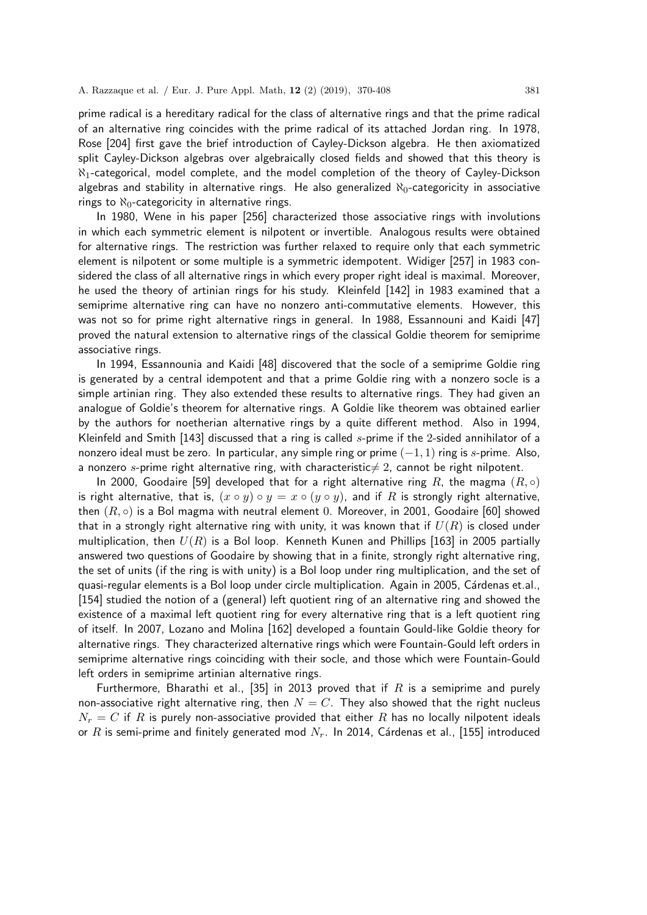prime radical is a hereditary radical for the class of alternative rings and that the prime radical of an alternative ring coincides with the prime radical of its attached Jordan ring. In 1978, Rose [204] first gave the brief introduction of Cayley-Dickson algebra. He then axiomatized split Cayley-Dickson algebras over algebraically closed fields and showed that this theory is  $\aleph_1$ -categorical, model complete, and the model completion of the theory of Cayley-Dickson algebras and stability in alternative rings. He also generalized  $\aleph_0$ -categoricity in associative rings to  $\aleph_0$ -categoricity in alternative rings.

In 1980, Wene in his paper [256] characterized those associative rings with involutions in which each symmetric element is nilpotent or invertible. Analogous results were obtained for alternative rings. The restriction was further relaxed to require only that each symmetric element is nilpotent or some multiple is a symmetric idempotent. Widiger [257] in 1983 considered the class of all alternative rings in which every proper right ideal is maximal. Moreover, he used the theory of artinian rings for his study. Kleinfeld [142] in 1983 examined that a semiprime alternative ring can have no nonzero anti-commutative elements. However, this was not so for prime right alternative rings in general. In 1988, Essannouni and Kaidi [47] proved the natural extension to alternative rings of the classical Goldie theorem for semiprime associative rings.

In 1994, Essannounia and Kaidi [48] discovered that the socle of a semiprime Goldie ring is generated by a central idempotent and that a prime Goldie ring with a nonzero socle is a simple artinian ring. They also extended these results to alternative rings. They had given an analogue of Goldie's theorem for alternative rings. A Goldie like theorem was obtained earlier by the authors for noetherian alternative rings by a quite different method. Also in 1994, Kleinfeld and Smith [143] discussed that a ring is called s-prime if the 2-sided annihilator of a nonzero ideal must be zero. In particular, any simple ring or prime  $(-1, 1)$  ring is s-prime. Also, a nonzero s-prime right alternative ring, with characteristic  $\neq 2$ , cannot be right nilpotent.

In 2000, Goodaire [59] developed that for a right alternative ring R, the magma  $(R, \circ)$ is right alternative, that is,  $(x \circ y) \circ y = x \circ (y \circ y)$ , and if R is strongly right alternative, then  $(R, \circ)$  is a Bol magma with neutral element 0. Moreover, in 2001, Goodaire [60] showed that in a strongly right alternative ring with unity, it was known that if  $U(R)$  is closed under multiplication, then  $U(R)$  is a Bol loop. Kenneth Kunen and Phillips [163] in 2005 partially answered two questions of Goodaire by showing that in a finite, strongly right alternative ring, the set of units (if the ring is with unity) is a Bol loop under ring multiplication, and the set of quasi-regular elements is a Bol loop under circle multiplication. Again in 2005, Cárdenas et.al., [154] studied the notion of a (general) left quotient ring of an alternative ring and showed the existence of a maximal left quotient ring for every alternative ring that is a left quotient ring of itself. In 2007, Lozano and Molina [162] developed a fountain Gould-like Goldie theory for alternative rings. They characterized alternative rings which were Fountain-Gould left orders in semiprime alternative rings coinciding with their socle, and those which were Fountain-Gould left orders in semiprime artinian alternative rings.

Furthermore, Bharathi et al., [35] in 2013 proved that if R is a semiprime and purely non-associative right alternative ring, then  $N = C$ . They also showed that the right nucleus  $N_r = C$  if R is purely non-associative provided that either R has no locally nilpotent ideals or R is semi-prime and finitely generated mod  $N_r$ . In 2014, Cárdenas et al., [155] introduced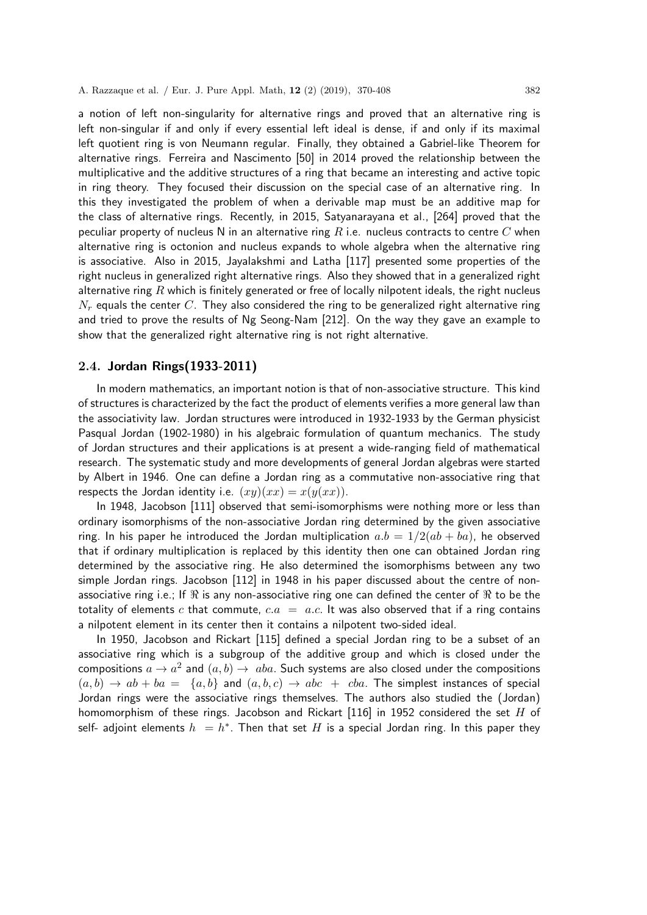a notion of left non-singularity for alternative rings and proved that an alternative ring is left non-singular if and only if every essential left ideal is dense, if and only if its maximal left quotient ring is von Neumann regular. Finally, they obtained a Gabriel-like Theorem for alternative rings. Ferreira and Nascimento [50] in 2014 proved the relationship between the multiplicative and the additive structures of a ring that became an interesting and active topic in ring theory. They focused their discussion on the special case of an alternative ring. In this they investigated the problem of when a derivable map must be an additive map for the class of alternative rings. Recently, in 2015, Satyanarayana et al., [264] proved that the peculiar property of nucleus N in an alternative ring R i.e. nucleus contracts to centre C when alternative ring is octonion and nucleus expands to whole algebra when the alternative ring is associative. Also in 2015, Jayalakshmi and Latha [117] presented some properties of the right nucleus in generalized right alternative rings. Also they showed that in a generalized right alternative ring  $R$  which is finitely generated or free of locally nilpotent ideals, the right nucleus  $N_r$  equals the center C. They also considered the ring to be generalized right alternative ring and tried to prove the results of Ng Seong-Nam [212]. On the way they gave an example to show that the generalized right alternative ring is not right alternative.

## 2.4. Jordan Rings(1933-2011)

In modern mathematics, an important notion is that of non-associative structure. This kind of structures is characterized by the fact the product of elements verifies a more general law than the associativity law. Jordan structures were introduced in 1932-1933 by the German physicist Pasqual Jordan (1902-1980) in his algebraic formulation of quantum mechanics. The study of Jordan structures and their applications is at present a wide-ranging field of mathematical research. The systematic study and more developments of general Jordan algebras were started by Albert in 1946. One can define a Jordan ring as a commutative non-associative ring that respects the Jordan identity i.e.  $(xy)(xx) = x(y(xx)).$ 

In 1948, Jacobson [111] observed that semi-isomorphisms were nothing more or less than ordinary isomorphisms of the non-associative Jordan ring determined by the given associative ring. In his paper he introduced the Jordan multiplication  $a.b = 1/2(ab + ba)$ , he observed that if ordinary multiplication is replaced by this identity then one can obtained Jordan ring determined by the associative ring. He also determined the isomorphisms between any two simple Jordan rings. Jacobson [112] in 1948 in his paper discussed about the centre of nonassociative ring i.e.; If  $\Re$  is any non-associative ring one can defined the center of  $\Re$  to be the totality of elements c that commute,  $c.a = a.c$ . It was also observed that if a ring contains a nilpotent element in its center then it contains a nilpotent two-sided ideal.

In 1950, Jacobson and Rickart [115] defined a special Jordan ring to be a subset of an associative ring which is a subgroup of the additive group and which is closed under the compositions  $a \to a^2$  and  $(a,b) \to \ aba.$  Such systems are also closed under the compositions  $(a, b) \rightarrow ab + ba = \{a, b\}$  and  $(a, b, c) \rightarrow abc + cba$ . The simplest instances of special Jordan rings were the associative rings themselves. The authors also studied the (Jordan) homomorphism of these rings. Jacobson and Rickart  $[116]$  in 1952 considered the set H of self- adjoint elements  $h_1 = h^*$ . Then that set  $H$  is a special Jordan ring. In this paper they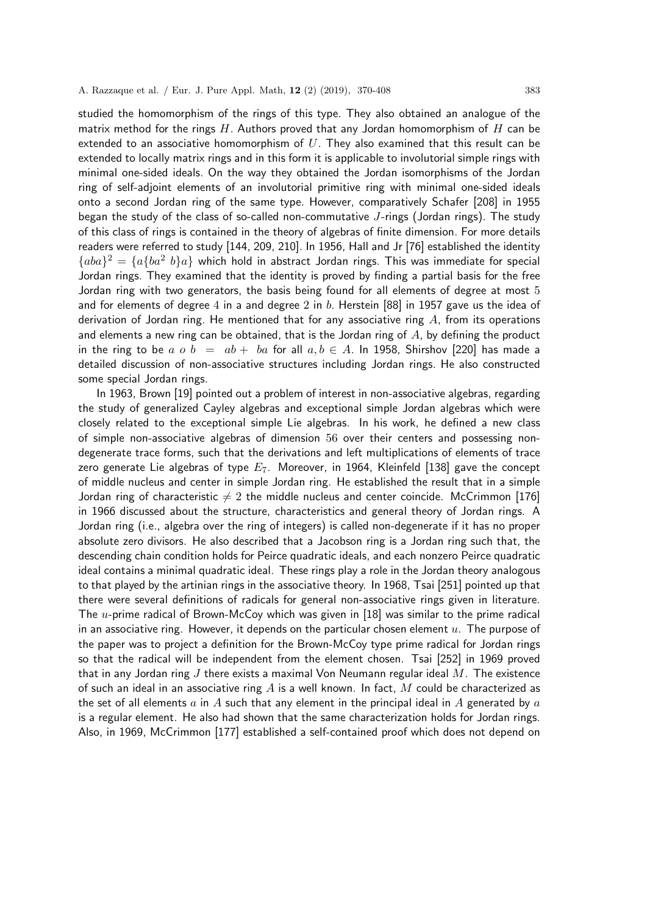studied the homomorphism of the rings of this type. They also obtained an analogue of the matrix method for the rings  $H$ . Authors proved that any Jordan homomorphism of  $H$  can be extended to an associative homomorphism of  $U$ . They also examined that this result can be extended to locally matrix rings and in this form it is applicable to involutorial simple rings with minimal one-sided ideals. On the way they obtained the Jordan isomorphisms of the Jordan ring of self-adjoint elements of an involutorial primitive ring with minimal one-sided ideals onto a second Jordan ring of the same type. However, comparatively Schafer [208] in 1955 began the study of the class of so-called non-commutative J-rings (Jordan rings). The study of this class of rings is contained in the theory of algebras of finite dimension. For more details readers were referred to study [144, 209, 210]. In 1956, Hall and Jr [76] established the identity  ${a}$  ${b}$  $a$  ${a}$  $a$  ${b}$  $a$  $a$  $b$  $a$  $b$  $a$  $b$  which hold in abstract Jordan rings. This was immediate for special Jordan rings. They examined that the identity is proved by finding a partial basis for the free Jordan ring with two generators, the basis being found for all elements of degree at most 5 and for elements of degree 4 in a and degree 2 in b. Herstein  $[88]$  in 1957 gave us the idea of derivation of Jordan ring. He mentioned that for any associative ring  $A$ , from its operations and elements a new ring can be obtained, that is the Jordan ring of  $A$ , by defining the product in the ring to be a o b =  $ab + ba$  for all  $a, b \in A$ . In 1958, Shirshov [220] has made a detailed discussion of non-associative structures including Jordan rings. He also constructed some special Jordan rings.

In 1963, Brown [19] pointed out a problem of interest in non-associative algebras, regarding the study of generalized Cayley algebras and exceptional simple Jordan algebras which were closely related to the exceptional simple Lie algebras. In his work, he defined a new class of simple non-associative algebras of dimension 56 over their centers and possessing nondegenerate trace forms, such that the derivations and left multiplications of elements of trace zero generate Lie algebras of type  $E_7$ . Moreover, in 1964, Kleinfeld [138] gave the concept of middle nucleus and center in simple Jordan ring. He established the result that in a simple Jordan ring of characteristic  $\neq 2$  the middle nucleus and center coincide. McCrimmon [176] in 1966 discussed about the structure, characteristics and general theory of Jordan rings. A Jordan ring (i.e., algebra over the ring of integers) is called non-degenerate if it has no proper absolute zero divisors. He also described that a Jacobson ring is a Jordan ring such that, the descending chain condition holds for Peirce quadratic ideals, and each nonzero Peirce quadratic ideal contains a minimal quadratic ideal. These rings play a role in the Jordan theory analogous to that played by the artinian rings in the associative theory. In 1968, Tsai [251] pointed up that there were several definitions of radicals for general non-associative rings given in literature. The  $u$ -prime radical of Brown-McCoy which was given in [18] was similar to the prime radical in an associative ring. However, it depends on the particular chosen element  $u$ . The purpose of the paper was to project a definition for the Brown-McCoy type prime radical for Jordan rings so that the radical will be independent from the element chosen. Tsai [252] in 1969 proved that in any Jordan ring J there exists a maximal Von Neumann regular ideal  $M$ . The existence of such an ideal in an associative ring  $A$  is a well known. In fact,  $M$  could be characterized as the set of all elements a in A such that any element in the principal ideal in A generated by a is a regular element. He also had shown that the same characterization holds for Jordan rings. Also, in 1969, McCrimmon [177] established a self-contained proof which does not depend on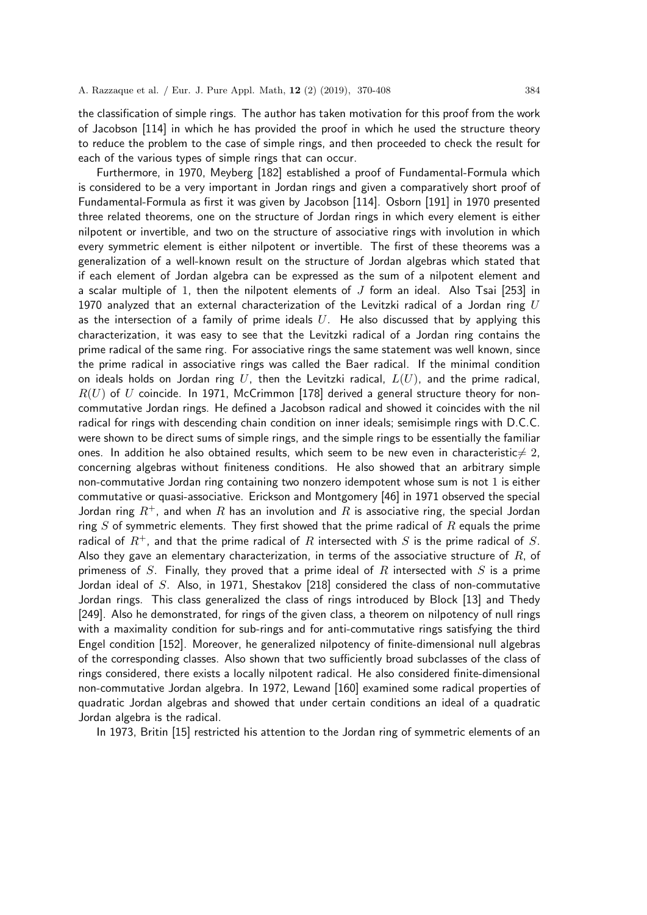the classification of simple rings. The author has taken motivation for this proof from the work of Jacobson [114] in which he has provided the proof in which he used the structure theory to reduce the problem to the case of simple rings, and then proceeded to check the result for each of the various types of simple rings that can occur.

Furthermore, in 1970, Meyberg [182] established a proof of Fundamental-Formula which is considered to be a very important in Jordan rings and given a comparatively short proof of Fundamental-Formula as first it was given by Jacobson [114]. Osborn [191] in 1970 presented three related theorems, one on the structure of Jordan rings in which every element is either nilpotent or invertible, and two on the structure of associative rings with involution in which every symmetric element is either nilpotent or invertible. The first of these theorems was a generalization of a well-known result on the structure of Jordan algebras which stated that if each element of Jordan algebra can be expressed as the sum of a nilpotent element and a scalar multiple of 1, then the nilpotent elements of  $J$  form an ideal. Also Tsai [253] in 1970 analyzed that an external characterization of the Levitzki radical of a Jordan ring  $U$ as the intersection of a family of prime ideals  $U$ . He also discussed that by applying this characterization, it was easy to see that the Levitzki radical of a Jordan ring contains the prime radical of the same ring. For associative rings the same statement was well known, since the prime radical in associative rings was called the Baer radical. If the minimal condition on ideals holds on Jordan ring U, then the Levitzki radical,  $L(U)$ , and the prime radical,  $R(U)$  of U coincide. In 1971, McCrimmon [178] derived a general structure theory for noncommutative Jordan rings. He defined a Jacobson radical and showed it coincides with the nil radical for rings with descending chain condition on inner ideals; semisimple rings with D.C.C. were shown to be direct sums of simple rings, and the simple rings to be essentially the familiar ones. In addition he also obtained results, which seem to be new even in characteristic $\neq 2$ , concerning algebras without finiteness conditions. He also showed that an arbitrary simple non-commutative Jordan ring containing two nonzero idempotent whose sum is not 1 is either commutative or quasi-associative. Erickson and Montgomery [46] in 1971 observed the special Jordan ring  $R^+$ , and when R has an involution and R is associative ring, the special Jordan ring  $S$  of symmetric elements. They first showed that the prime radical of  $R$  equals the prime radical of  $R^+$ , and that the prime radical of R intersected with S is the prime radical of S. Also they gave an elementary characterization, in terms of the associative structure of  $R$ , of primeness of S. Finally, they proved that a prime ideal of R intersected with S is a prime Jordan ideal of S. Also, in 1971, Shestakov [218] considered the class of non-commutative Jordan rings. This class generalized the class of rings introduced by Block [13] and Thedy [249]. Also he demonstrated, for rings of the given class, a theorem on nilpotency of null rings with a maximality condition for sub-rings and for anti-commutative rings satisfying the third Engel condition [152]. Moreover, he generalized nilpotency of finite-dimensional null algebras of the corresponding classes. Also shown that two sufficiently broad subclasses of the class of rings considered, there exists a locally nilpotent radical. He also considered finite-dimensional non-commutative Jordan algebra. In 1972, Lewand [160] examined some radical properties of quadratic Jordan algebras and showed that under certain conditions an ideal of a quadratic Jordan algebra is the radical.

In 1973, Britin [15] restricted his attention to the Jordan ring of symmetric elements of an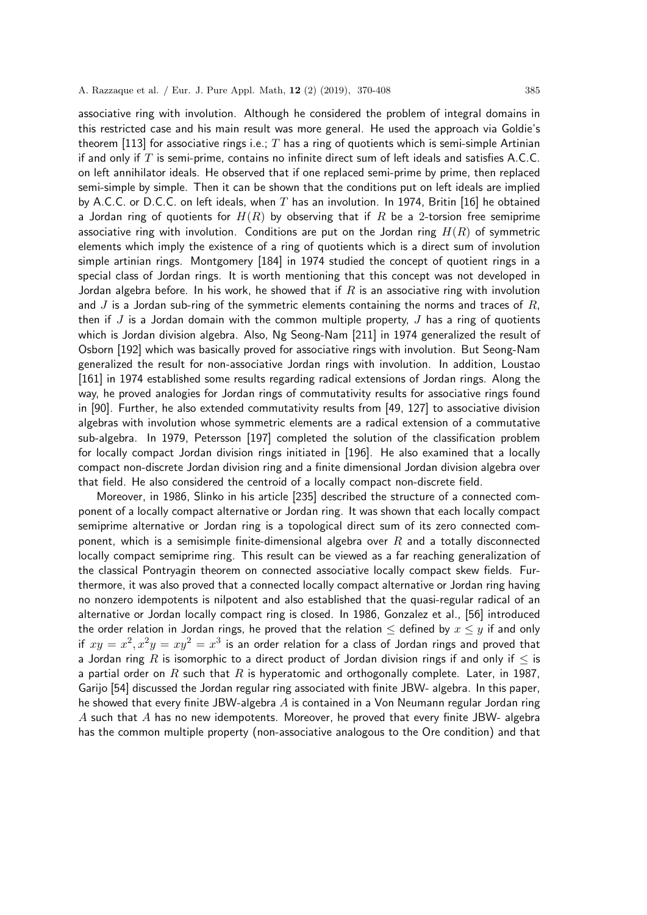associative ring with involution. Although he considered the problem of integral domains in this restricted case and his main result was more general. He used the approach via Goldie's theorem [113] for associative rings i.e.;  $T$  has a ring of quotients which is semi-simple Artinian if and only if  $T$  is semi-prime, contains no infinite direct sum of left ideals and satisfies A.C.C. on left annihilator ideals. He observed that if one replaced semi-prime by prime, then replaced semi-simple by simple. Then it can be shown that the conditions put on left ideals are implied by A.C.C. or D.C.C. on left ideals, when T has an involution. In 1974, Britin [16] he obtained a Jordan ring of quotients for  $H(R)$  by observing that if R be a 2-torsion free semiprime associative ring with involution. Conditions are put on the Jordan ring  $H(R)$  of symmetric elements which imply the existence of a ring of quotients which is a direct sum of involution simple artinian rings. Montgomery [184] in 1974 studied the concept of quotient rings in a special class of Jordan rings. It is worth mentioning that this concept was not developed in Jordan algebra before. In his work, he showed that if  $R$  is an associative ring with involution and  $J$  is a Jordan sub-ring of the symmetric elements containing the norms and traces of  $R$ , then if J is a Jordan domain with the common multiple property, J has a ring of quotients which is Jordan division algebra. Also, Ng Seong-Nam [211] in 1974 generalized the result of Osborn [192] which was basically proved for associative rings with involution. But Seong-Nam generalized the result for non-associative Jordan rings with involution. In addition, Loustao [161] in 1974 established some results regarding radical extensions of Jordan rings. Along the way, he proved analogies for Jordan rings of commutativity results for associative rings found in [90]. Further, he also extended commutativity results from [49, 127] to associative division algebras with involution whose symmetric elements are a radical extension of a commutative sub-algebra. In 1979, Petersson [197] completed the solution of the classification problem for locally compact Jordan division rings initiated in [196]. He also examined that a locally compact non-discrete Jordan division ring and a finite dimensional Jordan division algebra over that field. He also considered the centroid of a locally compact non-discrete field.

Moreover, in 1986, Slinko in his article [235] described the structure of a connected component of a locally compact alternative or Jordan ring. It was shown that each locally compact semiprime alternative or Jordan ring is a topological direct sum of its zero connected component, which is a semisimple finite-dimensional algebra over  $R$  and a totally disconnected locally compact semiprime ring. This result can be viewed as a far reaching generalization of the classical Pontryagin theorem on connected associative locally compact skew fields. Furthermore, it was also proved that a connected locally compact alternative or Jordan ring having no nonzero idempotents is nilpotent and also established that the quasi-regular radical of an alternative or Jordan locally compact ring is closed. In 1986, Gonzalez et al., [56] introduced the order relation in Jordan rings, he proved that the relation  $\leq$  defined by  $x \leq y$  if and only if  $xy = x^2, x^2y = xy^2 = x^3$  is an order relation for a class of Jordan rings and proved that a Jordan ring R is isomorphic to a direct product of Jordan division rings if and only if  $\leq$  is a partial order on R such that R is hyperatomic and orthogonally complete. Later, in 1987, Garijo [54] discussed the Jordan regular ring associated with finite JBW- algebra. In this paper, he showed that every finite JBW-algebra  $A$  is contained in a Von Neumann regular Jordan ring  $A$  such that  $A$  has no new idempotents. Moreover, he proved that every finite JBW- algebra has the common multiple property (non-associative analogous to the Ore condition) and that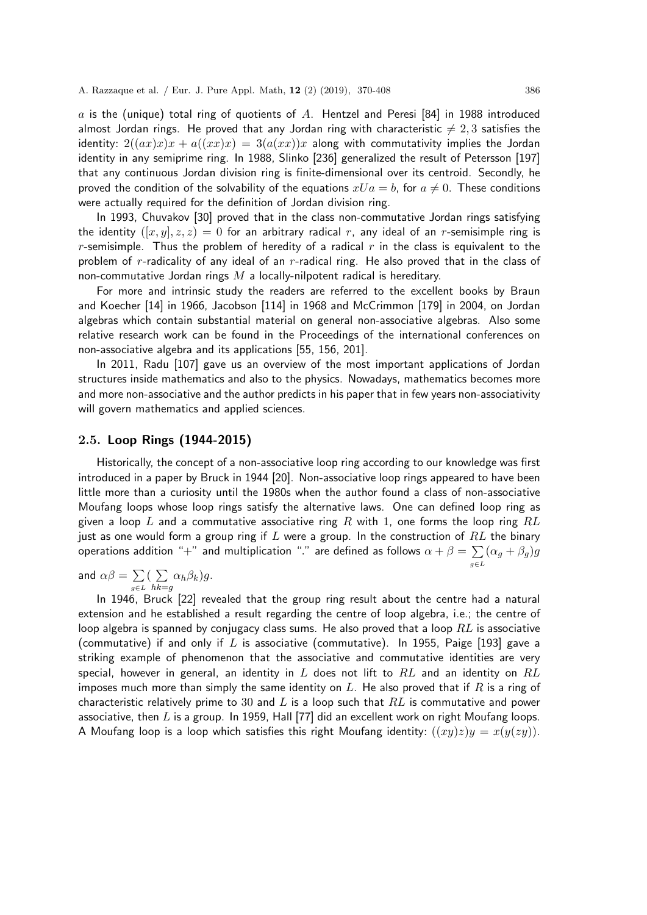A. Razzaque et al. / Eur. J. Pure Appl. Math, 12 (2) (2019), 370-408 386

a is the (unique) total ring of quotients of A. Hentzel and Peresi [84] in 1988 introduced almost Jordan rings. He proved that any Jordan ring with characteristic  $\neq 2, 3$  satisfies the identity:  $2((ax)x) + a((xx)x) = 3(a(xx))x$  along with commutativity implies the Jordan identity in any semiprime ring. In 1988, Slinko [236] generalized the result of Petersson [197] that any continuous Jordan division ring is finite-dimensional over its centroid. Secondly, he proved the condition of the solvability of the equations  $xUa = b$ , for  $a \neq 0$ . These conditions were actually required for the definition of Jordan division ring.

In 1993, Chuvakov [30] proved that in the class non-commutative Jordan rings satisfying the identity  $([x, y], z, z) = 0$  for an arbitrary radical r, any ideal of an r-semisimple ring is r-semisimple. Thus the problem of heredity of a radical r in the class is equivalent to the problem of r-radicality of any ideal of an r-radical ring. He also proved that in the class of non-commutative Jordan rings  $M$  a locally-nilpotent radical is hereditary.

For more and intrinsic study the readers are referred to the excellent books by Braun and Koecher [14] in 1966, Jacobson [114] in 1968 and McCrimmon [179] in 2004, on Jordan algebras which contain substantial material on general non-associative algebras. Also some relative research work can be found in the Proceedings of the international conferences on non-associative algebra and its applications [55, 156, 201].

In 2011, Radu [107] gave us an overview of the most important applications of Jordan structures inside mathematics and also to the physics. Nowadays, mathematics becomes more and more non-associative and the author predicts in his paper that in few years non-associativity will govern mathematics and applied sciences.

## 2.5. Loop Rings (1944-2015)

Historically, the concept of a non-associative loop ring according to our knowledge was first introduced in a paper by Bruck in 1944 [20]. Non-associative loop rings appeared to have been little more than a curiosity until the 1980s when the author found a class of non-associative Moufang loops whose loop rings satisfy the alternative laws. One can defined loop ring as given a loop L and a commutative associative ring R with 1, one forms the loop ring  $RL$ just as one would form a group ring if L were a group. In the construction of  $RL$  the binary operations addition "+" and multiplication "." are defined as follows  $\alpha+\beta=\sum$ g∈L  $(\alpha_g + \beta_g)g$ 

and  $\alpha\beta=\,\sum\,$  $g \in L$  $\left(\right.$   $\sum$  $hk = g$  $\alpha_h \beta_k$ )g.

In 1946, Bruck [22] revealed that the group ring result about the centre had a natural extension and he established a result regarding the centre of loop algebra, i.e.; the centre of loop algebra is spanned by conjugacy class sums. He also proved that a loop  $RL$  is associative (commutative) if and only if L is associative (commutative). In 1955, Paige [193] gave a striking example of phenomenon that the associative and commutative identities are very special, however in general, an identity in  $L$  does not lift to  $RL$  and an identity on  $RL$ imposes much more than simply the same identity on L. He also proved that if R is a ring of characteristic relatively prime to 30 and L is a loop such that  $RL$  is commutative and power associative, then  $L$  is a group. In 1959, Hall [77] did an excellent work on right Moufang loops. A Moufang loop is a loop which satisfies this right Moufang identity:  $((xy)z)y = x(y(zy))$ .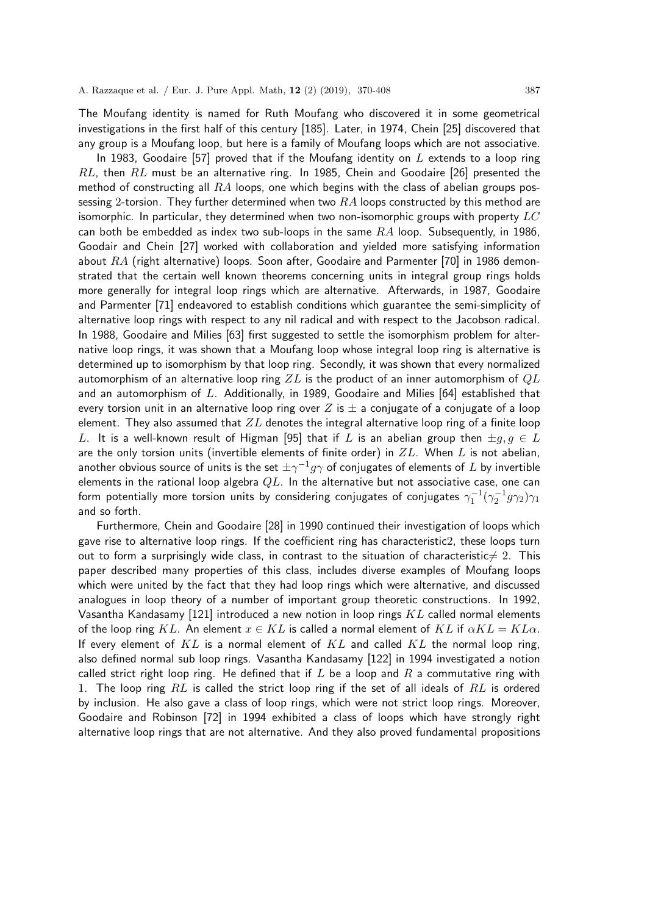The Moufang identity is named for Ruth Moufang who discovered it in some geometrical investigations in the first half of this century [185]. Later, in 1974, Chein [25] discovered that any group is a Moufang loop, but here is a family of Moufang loops which are not associative.

In 1983, Goodaire [57] proved that if the Moufang identity on  $L$  extends to a loop ring  $RL$ , then  $RL$  must be an alternative ring. In 1985, Chein and Goodaire [26] presented the method of constructing all  $RA$  loops, one which begins with the class of abelian groups possessing 2-torsion. They further determined when two  $RA$  loops constructed by this method are isomorphic. In particular, they determined when two non-isomorphic groups with property  $LC$ can both be embedded as index two sub-loops in the same  $RA$  loop. Subsequently, in 1986, Goodair and Chein [27] worked with collaboration and yielded more satisfying information about  $RA$  (right alternative) loops. Soon after, Goodaire and Parmenter [70] in 1986 demonstrated that the certain well known theorems concerning units in integral group rings holds more generally for integral loop rings which are alternative. Afterwards, in 1987, Goodaire and Parmenter [71] endeavored to establish conditions which guarantee the semi-simplicity of alternative loop rings with respect to any nil radical and with respect to the Jacobson radical. In 1988, Goodaire and Milies [63] first suggested to settle the isomorphism problem for alternative loop rings, it was shown that a Moufang loop whose integral loop ring is alternative is determined up to isomorphism by that loop ring. Secondly, it was shown that every normalized automorphism of an alternative loop ring  $ZL$  is the product of an inner automorphism of  $QL$ and an automorphism of  $L$ . Additionally, in 1989, Goodaire and Milies [64] established that every torsion unit in an alternative loop ring over Z is  $\pm$  a conjugate of a conjugate of a loop element. They also assumed that  $ZL$  denotes the integral alternative loop ring of a finite loop L. It is a well-known result of Higman [95] that if L is an abelian group then  $\pm q, q \in L$ are the only torsion units (invertible elements of finite order) in  $ZL$ . When L is not abelian, another obvious source of units is the set  $\pm \gamma^{-1} g \gamma$  of conjugates of elements of  $L$  by invertible elements in the rational loop algebra  $QL$ . In the alternative but not associative case, one can form potentially more torsion units by considering conjugates of conjugates  $\gamma_1^{-1}(\gamma_2^{-1}g\gamma_2)\gamma_1$ and so forth.

Furthermore, Chein and Goodaire [28] in 1990 continued their investigation of loops which gave rise to alternative loop rings. If the coefficient ring has characteristic2, these loops turn out to form a surprisingly wide class, in contrast to the situation of characteristic $\neq 2$ . This paper described many properties of this class, includes diverse examples of Moufang loops which were united by the fact that they had loop rings which were alternative, and discussed analogues in loop theory of a number of important group theoretic constructions. In 1992, Vasantha Kandasamy [121] introduced a new notion in loop rings  $KL$  called normal elements of the loop ring KL. An element  $x \in KL$  is called a normal element of KL if  $\alpha KL = KL \alpha$ . If every element of  $KL$  is a normal element of  $KL$  and called  $KL$  the normal loop ring, also defined normal sub loop rings. Vasantha Kandasamy [122] in 1994 investigated a notion called strict right loop ring. He defined that if L be a loop and R a commutative ring with 1. The loop ring  $RL$  is called the strict loop ring if the set of all ideals of  $RL$  is ordered by inclusion. He also gave a class of loop rings, which were not strict loop rings. Moreover, Goodaire and Robinson [72] in 1994 exhibited a class of loops which have strongly right alternative loop rings that are not alternative. And they also proved fundamental propositions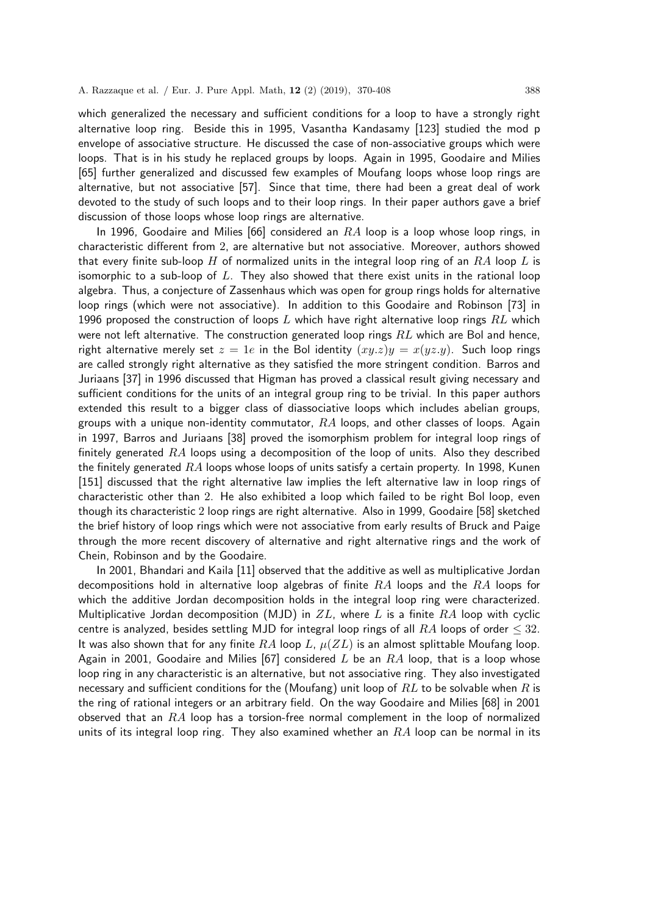which generalized the necessary and sufficient conditions for a loop to have a strongly right alternative loop ring. Beside this in 1995, Vasantha Kandasamy [123] studied the mod p envelope of associative structure. He discussed the case of non-associative groups which were loops. That is in his study he replaced groups by loops. Again in 1995, Goodaire and Milies [65] further generalized and discussed few examples of Moufang loops whose loop rings are alternative, but not associative [57]. Since that time, there had been a great deal of work devoted to the study of such loops and to their loop rings. In their paper authors gave a brief discussion of those loops whose loop rings are alternative.

In 1996, Goodaire and Milies [66] considered an  $RA$  loop is a loop whose loop rings, in characteristic different from 2, are alternative but not associative. Moreover, authors showed that every finite sub-loop H of normalized units in the integral loop ring of an  $RA$  loop L is isomorphic to a sub-loop of  $L$ . They also showed that there exist units in the rational loop algebra. Thus, a conjecture of Zassenhaus which was open for group rings holds for alternative loop rings (which were not associative). In addition to this Goodaire and Robinson [73] in 1996 proposed the construction of loops L which have right alternative loop rings  $RL$  which were not left alternative. The construction generated loop rings  $RL$  which are Bol and hence, right alternative merely set  $z = 1e$  in the Bol identity  $(xy \cdot z)y = x(yz \cdot y)$ . Such loop rings are called strongly right alternative as they satisfied the more stringent condition. Barros and Juriaans [37] in 1996 discussed that Higman has proved a classical result giving necessary and sufficient conditions for the units of an integral group ring to be trivial. In this paper authors extended this result to a bigger class of diassociative loops which includes abelian groups, groups with a unique non-identity commutator,  $RA$  loops, and other classes of loops. Again in 1997, Barros and Juriaans [38] proved the isomorphism problem for integral loop rings of finitely generated  $RA$  loops using a decomposition of the loop of units. Also they described the finitely generated  $RA$  loops whose loops of units satisfy a certain property. In 1998, Kunen [151] discussed that the right alternative law implies the left alternative law in loop rings of characteristic other than 2. He also exhibited a loop which failed to be right Bol loop, even though its characteristic 2 loop rings are right alternative. Also in 1999, Goodaire [58] sketched the brief history of loop rings which were not associative from early results of Bruck and Paige through the more recent discovery of alternative and right alternative rings and the work of Chein, Robinson and by the Goodaire.

In 2001, Bhandari and Kaila [11] observed that the additive as well as multiplicative Jordan decompositions hold in alternative loop algebras of finite  $RA$  loops and the  $RA$  loops for which the additive Jordan decomposition holds in the integral loop ring were characterized. Multiplicative Jordan decomposition (MJD) in  $ZL$ , where L is a finite  $RA$  loop with cyclic centre is analyzed, besides settling MJD for integral loop rings of all  $RA$  loops of order  $\leq 32$ . It was also shown that for any finite  $RA$  loop L,  $\mu(ZL)$  is an almost splittable Moufang loop. Again in 2001, Goodaire and Milies [67] considered L be an  $RA$  loop, that is a loop whose loop ring in any characteristic is an alternative, but not associative ring. They also investigated necessary and sufficient conditions for the (Moufang) unit loop of  $RL$  to be solvable when R is the ring of rational integers or an arbitrary field. On the way Goodaire and Milies [68] in 2001 observed that an  $RA$  loop has a torsion-free normal complement in the loop of normalized units of its integral loop ring. They also examined whether an  $RA$  loop can be normal in its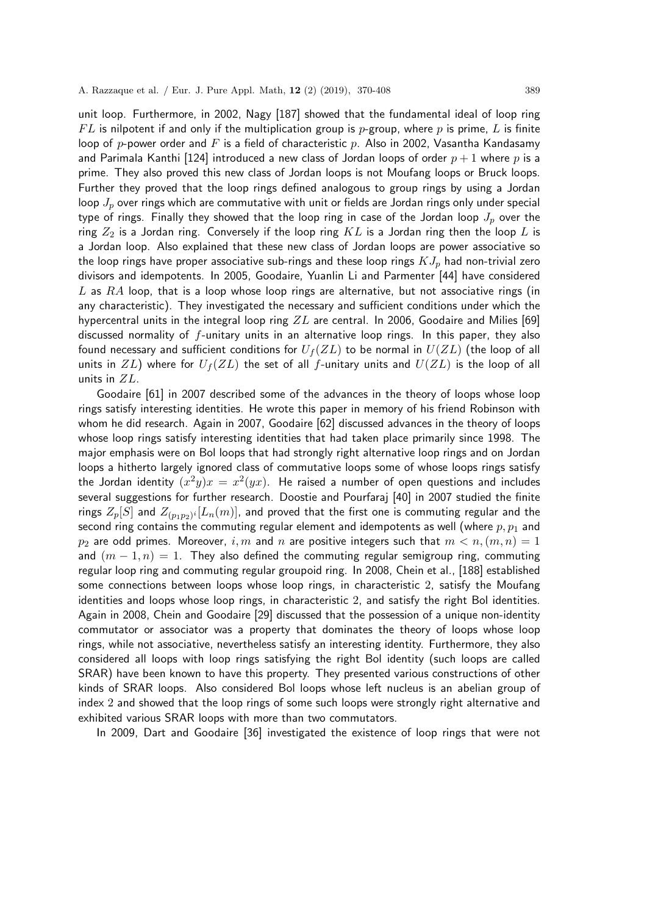unit loop. Furthermore, in 2002, Nagy [187] showed that the fundamental ideal of loop ring  $FL$  is nilpotent if and only if the multiplication group is p-group, where p is prime, L is finite loop of p-power order and F is a field of characteristic p. Also in 2002, Vasantha Kandasamy and Parimala Kanthi [124] introduced a new class of Jordan loops of order  $p + 1$  where p is a prime. They also proved this new class of Jordan loops is not Moufang loops or Bruck loops. Further they proved that the loop rings defined analogous to group rings by using a Jordan loop  $J_p$  over rings which are commutative with unit or fields are Jordan rings only under special type of rings. Finally they showed that the loop ring in case of the Jordan loop  $J_p$  over the ring  $Z_2$  is a Jordan ring. Conversely if the loop ring  $KL$  is a Jordan ring then the loop  $L$  is a Jordan loop. Also explained that these new class of Jordan loops are power associative so the loop rings have proper associative sub-rings and these loop rings  $KJ_p$  had non-trivial zero divisors and idempotents. In 2005, Goodaire, Yuanlin Li and Parmenter [44] have considered  $L$  as  $RA$  loop, that is a loop whose loop rings are alternative, but not associative rings (in any characteristic). They investigated the necessary and sufficient conditions under which the hypercentral units in the integral loop ring  $ZL$  are central. In 2006, Goodaire and Milies [69] discussed normality of f-unitary units in an alternative loop rings. In this paper, they also found necessary and sufficient conditions for  $U_f(ZL)$  to be normal in  $U(ZL)$  (the loop of all units in ZL) where for  $U_f(ZL)$  the set of all f-unitary units and  $U(ZL)$  is the loop of all units in ZL.

Goodaire [61] in 2007 described some of the advances in the theory of loops whose loop rings satisfy interesting identities. He wrote this paper in memory of his friend Robinson with whom he did research. Again in 2007, Goodaire [62] discussed advances in the theory of loops whose loop rings satisfy interesting identities that had taken place primarily since 1998. The major emphasis were on Bol loops that had strongly right alternative loop rings and on Jordan loops a hitherto largely ignored class of commutative loops some of whose loops rings satisfy the Jordan identity  $(x^2y)x = x^2(yx)$ . He raised a number of open questions and includes several suggestions for further research. Doostie and Pourfaraj [40] in 2007 studied the finite rings  $Z_p[S]$  and  $Z_{(p_1p_2)^i}[L_n(m)]$ , and proved that the first one is commuting regular and the second ring contains the commuting regular element and idempotents as well (where  $p, p_1$  and  $p_2$  are odd primes. Moreover, i, m and n are positive integers such that  $m < n, (m, n) = 1$ and  $(m - 1, n) = 1$ . They also defined the commuting regular semigroup ring, commuting regular loop ring and commuting regular groupoid ring. In 2008, Chein et al., [188] established some connections between loops whose loop rings, in characteristic 2, satisfy the Moufang identities and loops whose loop rings, in characteristic 2, and satisfy the right Bol identities. Again in 2008, Chein and Goodaire [29] discussed that the possession of a unique non-identity commutator or associator was a property that dominates the theory of loops whose loop rings, while not associative, nevertheless satisfy an interesting identity. Furthermore, they also considered all loops with loop rings satisfying the right Bol identity (such loops are called SRAR) have been known to have this property. They presented various constructions of other kinds of SRAR loops. Also considered Bol loops whose left nucleus is an abelian group of index 2 and showed that the loop rings of some such loops were strongly right alternative and exhibited various SRAR loops with more than two commutators.

In 2009, Dart and Goodaire [36] investigated the existence of loop rings that were not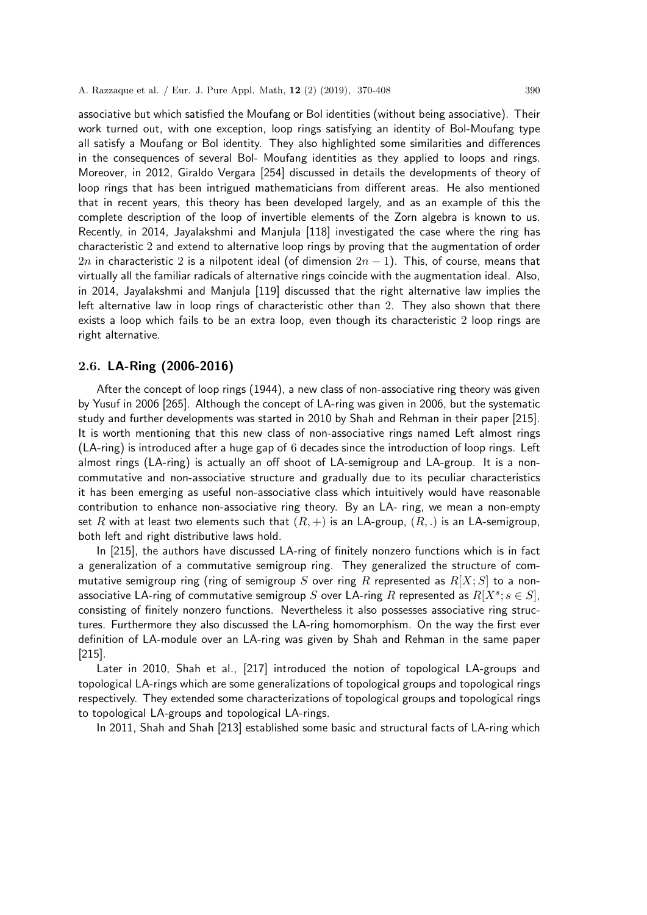associative but which satisfied the Moufang or Bol identities (without being associative). Their work turned out, with one exception, loop rings satisfying an identity of Bol-Moufang type all satisfy a Moufang or Bol identity. They also highlighted some similarities and differences in the consequences of several Bol- Moufang identities as they applied to loops and rings. Moreover, in 2012, Giraldo Vergara [254] discussed in details the developments of theory of loop rings that has been intrigued mathematicians from different areas. He also mentioned that in recent years, this theory has been developed largely, and as an example of this the complete description of the loop of invertible elements of the Zorn algebra is known to us. Recently, in 2014, Jayalakshmi and Manjula [118] investigated the case where the ring has characteristic 2 and extend to alternative loop rings by proving that the augmentation of order 2n in characteristic 2 is a nilpotent ideal (of dimension  $2n-1$ ). This, of course, means that virtually all the familiar radicals of alternative rings coincide with the augmentation ideal. Also, in 2014, Jayalakshmi and Manjula [119] discussed that the right alternative law implies the left alternative law in loop rings of characteristic other than 2. They also shown that there exists a loop which fails to be an extra loop, even though its characteristic 2 loop rings are right alternative.

### 2.6. LA-Ring (2006-2016)

After the concept of loop rings (1944), a new class of non-associative ring theory was given by Yusuf in 2006 [265]. Although the concept of LA-ring was given in 2006, but the systematic study and further developments was started in 2010 by Shah and Rehman in their paper [215]. It is worth mentioning that this new class of non-associative rings named Left almost rings (LA-ring) is introduced after a huge gap of 6 decades since the introduction of loop rings. Left almost rings (LA-ring) is actually an off shoot of LA-semigroup and LA-group. It is a noncommutative and non-associative structure and gradually due to its peculiar characteristics it has been emerging as useful non-associative class which intuitively would have reasonable contribution to enhance non-associative ring theory. By an LA- ring, we mean a non-empty set R with at least two elements such that  $(R, +)$  is an LA-group,  $(R, .)$  is an LA-semigroup, both left and right distributive laws hold.

In [215], the authors have discussed LA-ring of finitely nonzero functions which is in fact a generalization of a commutative semigroup ring. They generalized the structure of commutative semigroup ring (ring of semigroup S over ring R represented as  $R[X;S]$  to a nonassociative LA-ring of commutative semigroup S over LA-ring R represented as  $R[X^s; s \in S]$ , consisting of finitely nonzero functions. Nevertheless it also possesses associative ring structures. Furthermore they also discussed the LA-ring homomorphism. On the way the first ever definition of LA-module over an LA-ring was given by Shah and Rehman in the same paper [215].

Later in 2010, Shah et al., [217] introduced the notion of topological LA-groups and topological LA-rings which are some generalizations of topological groups and topological rings respectively. They extended some characterizations of topological groups and topological rings to topological LA-groups and topological LA-rings.

In 2011, Shah and Shah [213] established some basic and structural facts of LA-ring which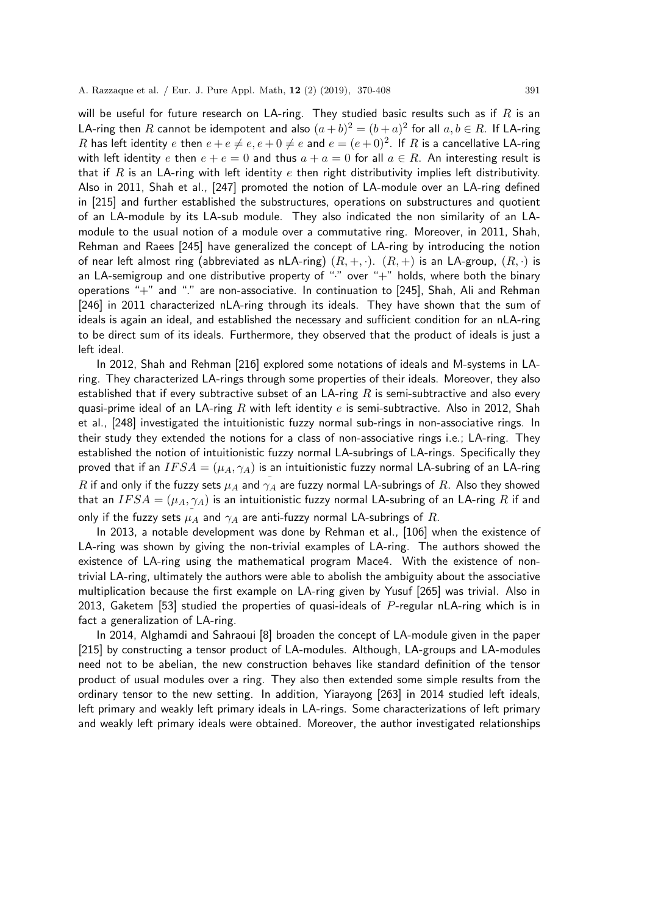will be useful for future research on LA-ring. They studied basic results such as if  $R$  is an LA-ring then  $R$  cannot be idempotent and also  $(a + b)^2 = (b + a)^2$  for all  $a, b \in R$ . If LA-ring  $R$  has left identity  $e$  then  $e+e\neq e, e+0\neq e$  and  $e=(e+0)^2$ . If  $R$  is a cancellative LA-ring with left identity e then  $e + e = 0$  and thus  $a + a = 0$  for all  $a \in R$ . An interesting result is that if  $R$  is an LA-ring with left identity  $e$  then right distributivity implies left distributivity. Also in 2011, Shah et al., [247] promoted the notion of LA-module over an LA-ring defined in [215] and further established the substructures, operations on substructures and quotient of an LA-module by its LA-sub module. They also indicated the non similarity of an LAmodule to the usual notion of a module over a commutative ring. Moreover, in 2011, Shah, Rehman and Raees [245] have generalized the concept of LA-ring by introducing the notion of near left almost ring (abbreviated as nLA-ring)  $(R, +, \cdot)$ .  $(R, +)$  is an LA-group,  $(R, \cdot)$  is an LA-semigroup and one distributive property of " $\cdot$ " over " $+$ " holds, where both the binary operations "+" and "." are non-associative. In continuation to [245], Shah, Ali and Rehman [246] in 2011 characterized nLA-ring through its ideals. They have shown that the sum of ideals is again an ideal, and established the necessary and sufficient condition for an nLA-ring to be direct sum of its ideals. Furthermore, they observed that the product of ideals is just a left ideal.

In 2012, Shah and Rehman [216] explored some notations of ideals and M-systems in LAring. They characterized LA-rings through some properties of their ideals. Moreover, they also established that if every subtractive subset of an LA-ring  $R$  is semi-subtractive and also every quasi-prime ideal of an LA-ring R with left identity e is semi-subtractive. Also in 2012, Shah et al., [248] investigated the intuitionistic fuzzy normal sub-rings in non-associative rings. In their study they extended the notions for a class of non-associative rings i.e.; LA-ring. They established the notion of intuitionistic fuzzy normal LA-subrings of LA-rings. Specifically they proved that if an  $IFSA = (\mu_A, \gamma_A)$  is an intuitionistic fuzzy normal LA-subring of an LA-ring  $R$  if and only if the fuzzy sets  $\mu_A$  and  $\stackrel{-}{\gamma_A}$  are fuzzy normal LA-subrings of  $R.$  Also they showed that an  $IFSA = (\mu_A, \gamma_A)$  is an intuitionistic fuzzy normal LA-subring of an LA-ring R if and only if the fuzzy sets  $\stackrel{-}{\mu_A}$  and  $\gamma_A$  are anti-fuzzy normal LA-subrings of  $R.$ 

In 2013, a notable development was done by Rehman et al., [106] when the existence of LA-ring was shown by giving the non-trivial examples of LA-ring. The authors showed the existence of LA-ring using the mathematical program Mace4. With the existence of nontrivial LA-ring, ultimately the authors were able to abolish the ambiguity about the associative multiplication because the first example on LA-ring given by Yusuf [265] was trivial. Also in 2013, Gaketem [53] studied the properties of quasi-ideals of  $P$ -regular nLA-ring which is in fact a generalization of LA-ring.

In 2014, Alghamdi and Sahraoui [8] broaden the concept of LA-module given in the paper [215] by constructing a tensor product of LA-modules. Although, LA-groups and LA-modules need not to be abelian, the new construction behaves like standard definition of the tensor product of usual modules over a ring. They also then extended some simple results from the ordinary tensor to the new setting. In addition, Yiarayong [263] in 2014 studied left ideals, left primary and weakly left primary ideals in LA-rings. Some characterizations of left primary and weakly left primary ideals were obtained. Moreover, the author investigated relationships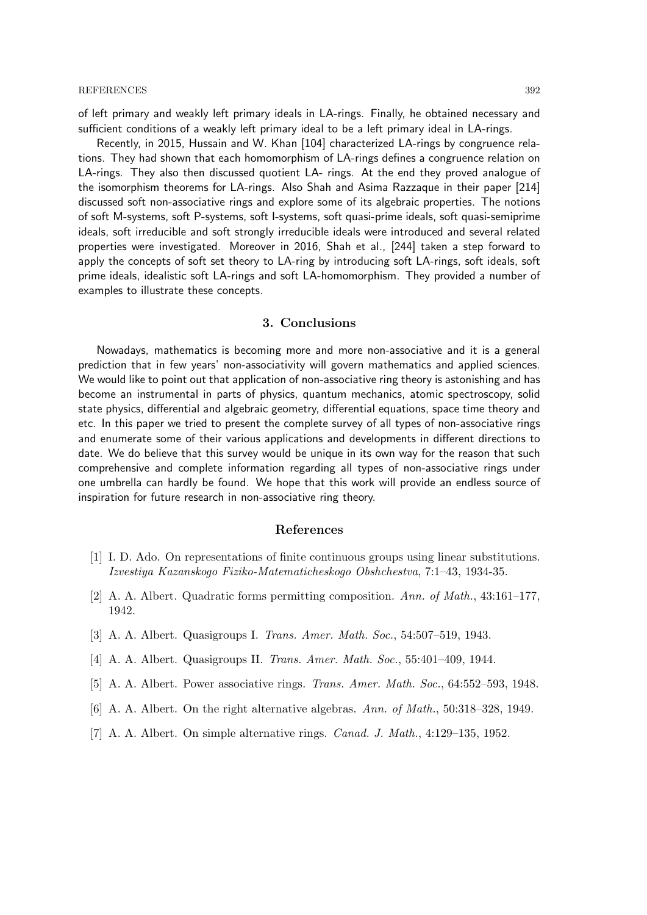of left primary and weakly left primary ideals in LA-rings. Finally, he obtained necessary and sufficient conditions of a weakly left primary ideal to be a left primary ideal in LA-rings.

Recently, in 2015, Hussain and W. Khan [104] characterized LA-rings by congruence relations. They had shown that each homomorphism of LA-rings defines a congruence relation on LA-rings. They also then discussed quotient LA- rings. At the end they proved analogue of the isomorphism theorems for LA-rings. Also Shah and Asima Razzaque in their paper [214] discussed soft non-associative rings and explore some of its algebraic properties. The notions of soft M-systems, soft P-systems, soft I-systems, soft quasi-prime ideals, soft quasi-semiprime ideals, soft irreducible and soft strongly irreducible ideals were introduced and several related properties were investigated. Moreover in 2016, Shah et al., [244] taken a step forward to apply the concepts of soft set theory to LA-ring by introducing soft LA-rings, soft ideals, soft prime ideals, idealistic soft LA-rings and soft LA-homomorphism. They provided a number of examples to illustrate these concepts.

#### 3. Conclusions

Nowadays, mathematics is becoming more and more non-associative and it is a general prediction that in few years' non-associativity will govern mathematics and applied sciences. We would like to point out that application of non-associative ring theory is astonishing and has become an instrumental in parts of physics, quantum mechanics, atomic spectroscopy, solid state physics, differential and algebraic geometry, differential equations, space time theory and etc. In this paper we tried to present the complete survey of all types of non-associative rings and enumerate some of their various applications and developments in different directions to date. We do believe that this survey would be unique in its own way for the reason that such comprehensive and complete information regarding all types of non-associative rings under one umbrella can hardly be found. We hope that this work will provide an endless source of inspiration for future research in non-associative ring theory.

#### References

- [1] I. D. Ado. On representations of finite continuous groups using linear substitutions. Izvestiya Kazanskogo Fiziko-Matematicheskogo Obshchestva, 7:1–43, 1934-35.
- [2] A. A. Albert. Quadratic forms permitting composition. Ann. of Math., 43:161–177, 1942.
- [3] A. A. Albert. Quasigroups I. Trans. Amer. Math. Soc., 54:507–519, 1943.
- [4] A. A. Albert. Quasigroups II. Trans. Amer. Math. Soc., 55:401–409, 1944.
- [5] A. A. Albert. Power associative rings. Trans. Amer. Math. Soc., 64:552–593, 1948.
- [6] A. A. Albert. On the right alternative algebras. Ann. of Math., 50:318–328, 1949.
- [7] A. A. Albert. On simple alternative rings. Canad. J. Math., 4:129–135, 1952.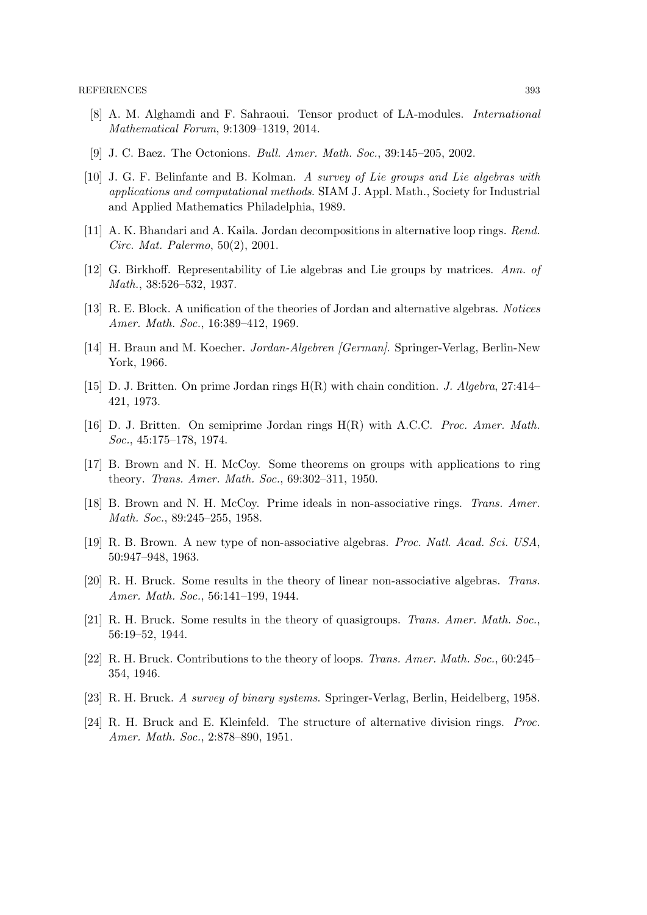- [8] A. M. Alghamdi and F. Sahraoui. Tensor product of LA-modules. International Mathematical Forum, 9:1309–1319, 2014.
- [9] J. C. Baez. The Octonions. Bull. Amer. Math. Soc., 39:145–205, 2002.
- [10] J. G. F. Belinfante and B. Kolman. A survey of Lie groups and Lie algebras with applications and computational methods. SIAM J. Appl. Math., Society for Industrial and Applied Mathematics Philadelphia, 1989.
- [11] A. K. Bhandari and A. Kaila. Jordan decompositions in alternative loop rings. Rend. Circ. Mat. Palermo, 50(2), 2001.
- [12] G. Birkhoff. Representability of Lie algebras and Lie groups by matrices. Ann. of Math., 38:526–532, 1937.
- [13] R. E. Block. A unification of the theories of Jordan and alternative algebras. Notices Amer. Math. Soc., 16:389–412, 1969.
- [14] H. Braun and M. Koecher. Jordan-Algebren [German]. Springer-Verlag, Berlin-New York, 1966.
- [15] D. J. Britten. On prime Jordan rings H(R) with chain condition. J. Algebra, 27:414– 421, 1973.
- [16] D. J. Britten. On semiprime Jordan rings  $H(R)$  with A.C.C. *Proc. Amer. Math.* Soc., 45:175–178, 1974.
- [17] B. Brown and N. H. McCoy. Some theorems on groups with applications to ring theory. Trans. Amer. Math. Soc., 69:302–311, 1950.
- [18] B. Brown and N. H. McCoy. Prime ideals in non-associative rings. Trans. Amer. Math. Soc., 89:245–255, 1958.
- [19] R. B. Brown. A new type of non-associative algebras. Proc. Natl. Acad. Sci. USA, 50:947–948, 1963.
- [20] R. H. Bruck. Some results in the theory of linear non-associative algebras. Trans. Amer. Math. Soc., 56:141–199, 1944.
- [21] R. H. Bruck. Some results in the theory of quasigroups. Trans. Amer. Math. Soc., 56:19–52, 1944.
- [22] R. H. Bruck. Contributions to the theory of loops. Trans. Amer. Math. Soc., 60:245– 354, 1946.
- [23] R. H. Bruck. A survey of binary systems. Springer-Verlag, Berlin, Heidelberg, 1958.
- [24] R. H. Bruck and E. Kleinfeld. The structure of alternative division rings. Proc. Amer. Math. Soc., 2:878–890, 1951.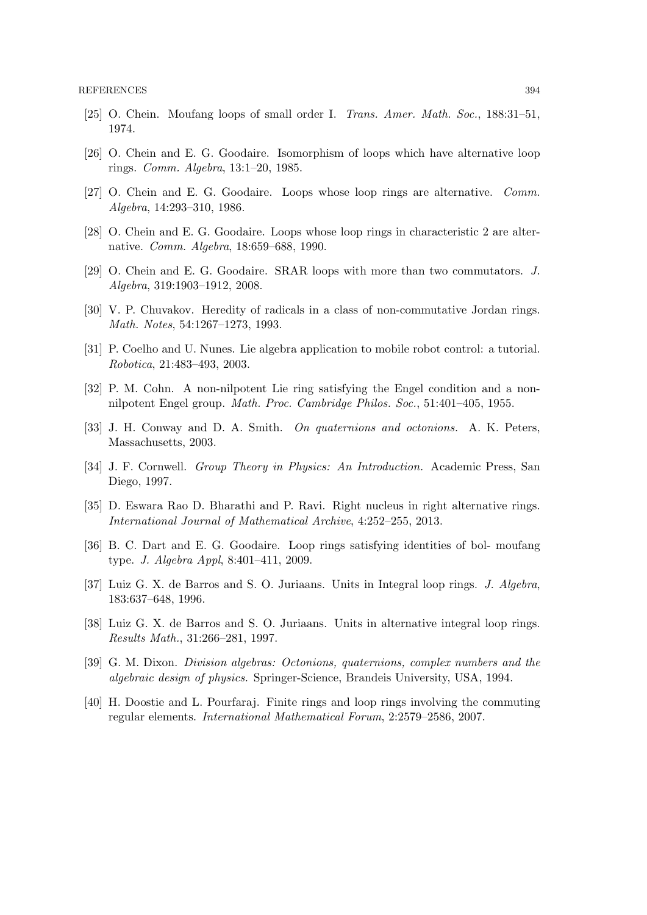- [25] O. Chein. Moufang loops of small order I. Trans. Amer. Math. Soc., 188:31–51, 1974.
- [26] O. Chein and E. G. Goodaire. Isomorphism of loops which have alternative loop rings. Comm. Algebra, 13:1–20, 1985.
- [27] O. Chein and E. G. Goodaire. Loops whose loop rings are alternative. Comm. Algebra, 14:293–310, 1986.
- [28] O. Chein and E. G. Goodaire. Loops whose loop rings in characteristic 2 are alternative. Comm. Algebra, 18:659–688, 1990.
- [29] O. Chein and E. G. Goodaire. SRAR loops with more than two commutators. J. Algebra, 319:1903–1912, 2008.
- [30] V. P. Chuvakov. Heredity of radicals in a class of non-commutative Jordan rings. Math. Notes, 54:1267–1273, 1993.
- [31] P. Coelho and U. Nunes. Lie algebra application to mobile robot control: a tutorial. Robotica, 21:483–493, 2003.
- [32] P. M. Cohn. A non-nilpotent Lie ring satisfying the Engel condition and a nonnilpotent Engel group. Math. Proc. Cambridge Philos. Soc., 51:401–405, 1955.
- [33] J. H. Conway and D. A. Smith. On quaternions and octonions. A. K. Peters, Massachusetts, 2003.
- [34] J. F. Cornwell. Group Theory in Physics: An Introduction. Academic Press, San Diego, 1997.
- [35] D. Eswara Rao D. Bharathi and P. Ravi. Right nucleus in right alternative rings. International Journal of Mathematical Archive, 4:252–255, 2013.
- [36] B. C. Dart and E. G. Goodaire. Loop rings satisfying identities of bol- moufang type. J. Algebra Appl, 8:401–411, 2009.
- [37] Luiz G. X. de Barros and S. O. Juriaans. Units in Integral loop rings. J. Algebra, 183:637–648, 1996.
- [38] Luiz G. X. de Barros and S. O. Juriaans. Units in alternative integral loop rings. Results Math., 31:266–281, 1997.
- [39] G. M. Dixon. Division algebras: Octonions, quaternions, complex numbers and the algebraic design of physics. Springer-Science, Brandeis University, USA, 1994.
- [40] H. Doostie and L. Pourfaraj. Finite rings and loop rings involving the commuting regular elements. International Mathematical Forum, 2:2579–2586, 2007.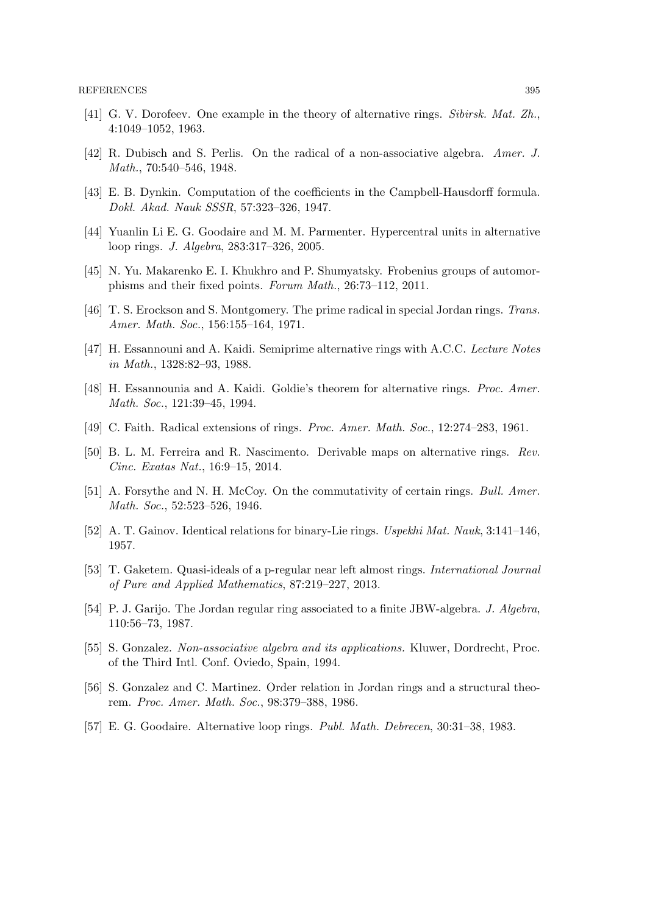- [41] G. V. Dorofeev. One example in the theory of alternative rings. Sibirsk. Mat. Zh., 4:1049–1052, 1963.
- [42] R. Dubisch and S. Perlis. On the radical of a non-associative algebra. Amer. J. Math., 70:540–546, 1948.
- [43] E. B. Dynkin. Computation of the coefficients in the Campbell-Hausdorff formula. Dokl. Akad. Nauk SSSR, 57:323–326, 1947.
- [44] Yuanlin Li E. G. Goodaire and M. M. Parmenter. Hypercentral units in alternative loop rings. J. Algebra, 283:317–326, 2005.
- [45] N. Yu. Makarenko E. I. Khukhro and P. Shumyatsky. Frobenius groups of automorphisms and their fixed points. Forum Math., 26:73–112, 2011.
- [46] T. S. Erockson and S. Montgomery. The prime radical in special Jordan rings. Trans. Amer. Math. Soc., 156:155–164, 1971.
- [47] H. Essannouni and A. Kaidi. Semiprime alternative rings with A.C.C. Lecture Notes in Math., 1328:82–93, 1988.
- [48] H. Essannounia and A. Kaidi. Goldie's theorem for alternative rings. Proc. Amer. Math. Soc., 121:39–45, 1994.
- [49] C. Faith. Radical extensions of rings. Proc. Amer. Math. Soc., 12:274–283, 1961.
- [50] B. L. M. Ferreira and R. Nascimento. Derivable maps on alternative rings. Rev. Cinc. Exatas Nat., 16:9–15, 2014.
- [51] A. Forsythe and N. H. McCoy. On the commutativity of certain rings. Bull. Amer. Math. Soc., 52:523–526, 1946.
- [52] A. T. Gainov. Identical relations for binary-Lie rings. Uspekhi Mat. Nauk, 3:141–146, 1957.
- [53] T. Gaketem. Quasi-ideals of a p-regular near left almost rings. International Journal of Pure and Applied Mathematics, 87:219–227, 2013.
- [54] P. J. Garijo. The Jordan regular ring associated to a finite JBW-algebra. J. Algebra, 110:56–73, 1987.
- [55] S. Gonzalez. Non-associative algebra and its applications. Kluwer, Dordrecht, Proc. of the Third Intl. Conf. Oviedo, Spain, 1994.
- [56] S. Gonzalez and C. Martinez. Order relation in Jordan rings and a structural theorem. Proc. Amer. Math. Soc., 98:379–388, 1986.
- [57] E. G. Goodaire. Alternative loop rings. Publ. Math. Debrecen, 30:31–38, 1983.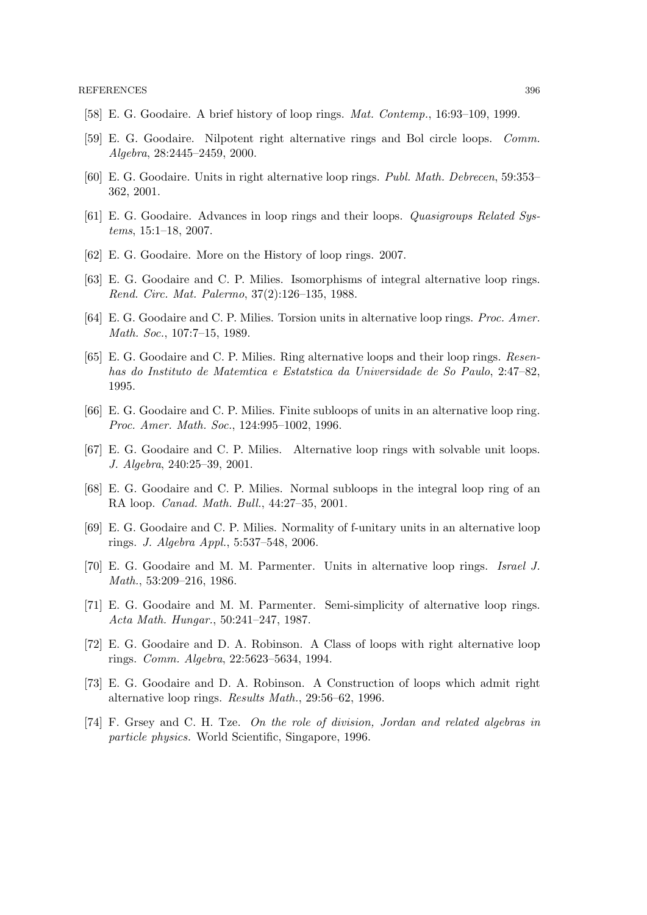- [58] E. G. Goodaire. A brief history of loop rings. Mat. Contemp., 16:93–109, 1999.
- [59] E. G. Goodaire. Nilpotent right alternative rings and Bol circle loops. Comm. Algebra, 28:2445–2459, 2000.
- [60] E. G. Goodaire. Units in right alternative loop rings. Publ. Math. Debrecen, 59:353– 362, 2001.
- [61] E. G. Goodaire. Advances in loop rings and their loops. Quasigroups Related Systems, 15:1–18, 2007.
- [62] E. G. Goodaire. More on the History of loop rings. 2007.
- [63] E. G. Goodaire and C. P. Milies. Isomorphisms of integral alternative loop rings. Rend. Circ. Mat. Palermo, 37(2):126–135, 1988.
- [64] E. G. Goodaire and C. P. Milies. Torsion units in alternative loop rings. Proc. Amer. Math. Soc., 107:7–15, 1989.
- [65] E. G. Goodaire and C. P. Milies. Ring alternative loops and their loop rings. Resenhas do Instituto de Matemtica e Estatstica da Universidade de So Paulo, 2:47–82, 1995.
- [66] E. G. Goodaire and C. P. Milies. Finite subloops of units in an alternative loop ring. Proc. Amer. Math. Soc., 124:995–1002, 1996.
- [67] E. G. Goodaire and C. P. Milies. Alternative loop rings with solvable unit loops. J. Algebra, 240:25–39, 2001.
- [68] E. G. Goodaire and C. P. Milies. Normal subloops in the integral loop ring of an RA loop. Canad. Math. Bull., 44:27–35, 2001.
- [69] E. G. Goodaire and C. P. Milies. Normality of f-unitary units in an alternative loop rings. J. Algebra Appl., 5:537–548, 2006.
- [70] E. G. Goodaire and M. M. Parmenter. Units in alternative loop rings. Israel J. Math., 53:209–216, 1986.
- [71] E. G. Goodaire and M. M. Parmenter. Semi-simplicity of alternative loop rings. Acta Math. Hungar., 50:241–247, 1987.
- [72] E. G. Goodaire and D. A. Robinson. A Class of loops with right alternative loop rings. Comm. Algebra, 22:5623–5634, 1994.
- [73] E. G. Goodaire and D. A. Robinson. A Construction of loops which admit right alternative loop rings. Results Math., 29:56–62, 1996.
- [74] F. Grsey and C. H. Tze. On the role of division, Jordan and related algebras in particle physics. World Scientific, Singapore, 1996.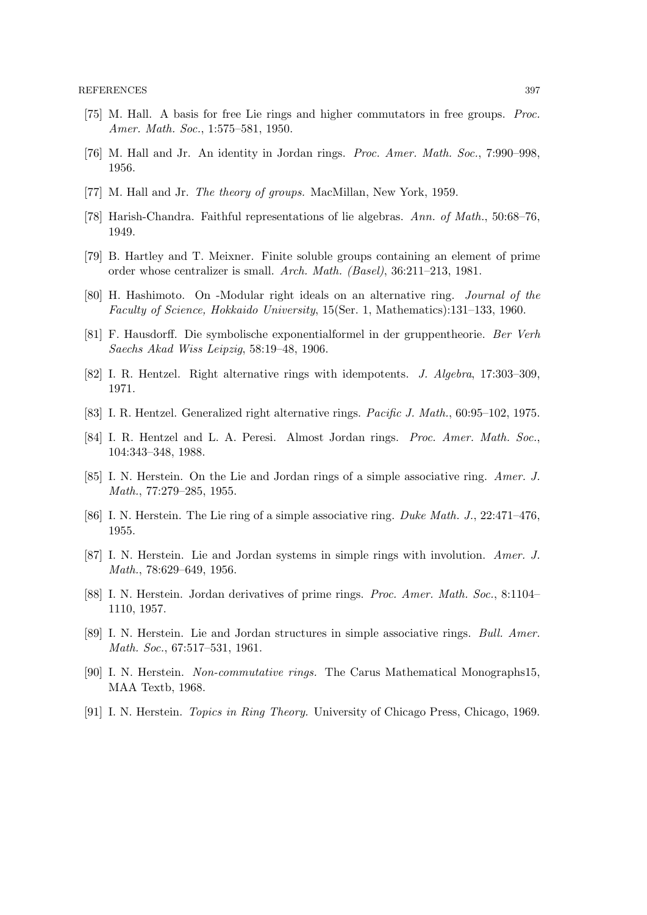- [75] M. Hall. A basis for free Lie rings and higher commutators in free groups. Proc. Amer. Math. Soc., 1:575–581, 1950.
- [76] M. Hall and Jr. An identity in Jordan rings. Proc. Amer. Math. Soc., 7:990-998, 1956.
- [77] M. Hall and Jr. *The theory of groups*. MacMillan, New York, 1959.
- [78] Harish-Chandra. Faithful representations of lie algebras. Ann. of Math., 50:68–76, 1949.
- [79] B. Hartley and T. Meixner. Finite soluble groups containing an element of prime order whose centralizer is small. Arch. Math. (Basel), 36:211–213, 1981.
- [80] H. Hashimoto. On -Modular right ideals on an alternative ring. Journal of the Faculty of Science, Hokkaido University, 15(Ser. 1, Mathematics):131–133, 1960.
- [81] F. Hausdorff. Die symbolische exponentialformel in der gruppentheorie. Ber Verh Saechs Akad Wiss Leipzig, 58:19–48, 1906.
- [82] I. R. Hentzel. Right alternative rings with idempotents. J. Algebra, 17:303–309, 1971.
- [83] I. R. Hentzel. Generalized right alternative rings. Pacific J. Math., 60:95–102, 1975.
- [84] I. R. Hentzel and L. A. Peresi. Almost Jordan rings. Proc. Amer. Math. Soc., 104:343–348, 1988.
- [85] I. N. Herstein. On the Lie and Jordan rings of a simple associative ring. Amer. J. Math., 77:279–285, 1955.
- [86] I. N. Herstein. The Lie ring of a simple associative ring. Duke Math. J., 22:471–476, 1955.
- [87] I. N. Herstein. Lie and Jordan systems in simple rings with involution. Amer. J. Math., 78:629–649, 1956.
- [88] I. N. Herstein. Jordan derivatives of prime rings. Proc. Amer. Math. Soc., 8:1104– 1110, 1957.
- [89] I. N. Herstein. Lie and Jordan structures in simple associative rings. Bull. Amer. Math. Soc., 67:517–531, 1961.
- [90] I. N. Herstein. Non-commutative rings. The Carus Mathematical Monographs15, MAA Textb, 1968.
- [91] I. N. Herstein. Topics in Ring Theory. University of Chicago Press, Chicago, 1969.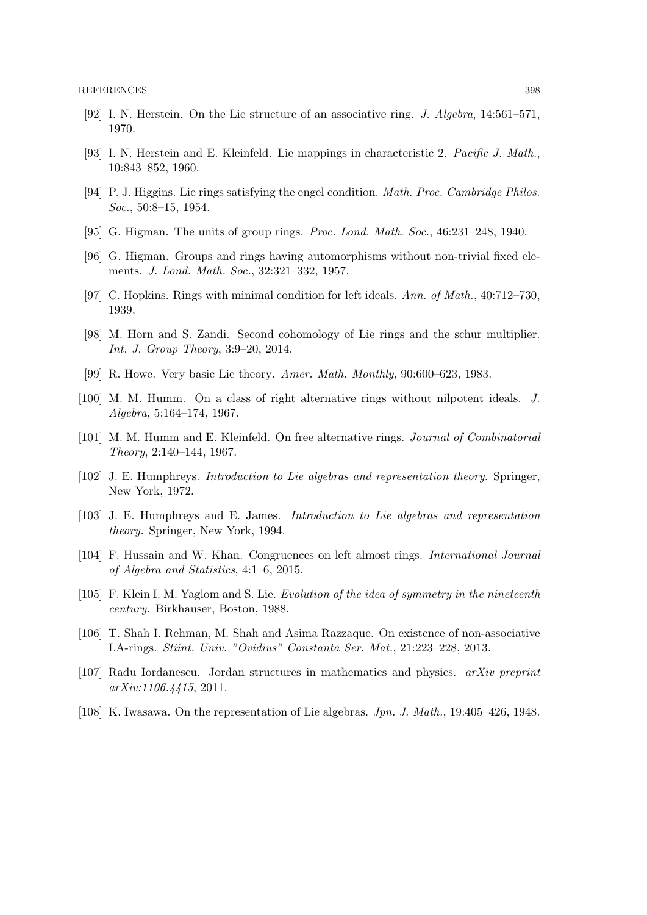- [92] I. N. Herstein. On the Lie structure of an associative ring. J. Algebra, 14:561–571, 1970.
- [93] I. N. Herstein and E. Kleinfeld. Lie mappings in characteristic 2. Pacific J. Math., 10:843–852, 1960.
- [94] P. J. Higgins. Lie rings satisfying the engel condition. Math. Proc. Cambridge Philos. Soc., 50:8–15, 1954.
- [95] G. Higman. The units of group rings. Proc. Lond. Math. Soc., 46:231–248, 1940.
- [96] G. Higman. Groups and rings having automorphisms without non-trivial fixed elements. J. Lond. Math. Soc., 32:321–332, 1957.
- [97] C. Hopkins. Rings with minimal condition for left ideals. Ann. of Math., 40:712–730, 1939.
- [98] M. Horn and S. Zandi. Second cohomology of Lie rings and the schur multiplier. Int. J. Group Theory, 3:9–20, 2014.
- [99] R. Howe. Very basic Lie theory. Amer. Math. Monthly, 90:600–623, 1983.
- [100] M. M. Humm. On a class of right alternative rings without nilpotent ideals. J. Algebra, 5:164–174, 1967.
- [101] M. M. Humm and E. Kleinfeld. On free alternative rings. Journal of Combinatorial Theory, 2:140–144, 1967.
- [102] J. E. Humphreys. Introduction to Lie algebras and representation theory. Springer, New York, 1972.
- [103] J. E. Humphreys and E. James. Introduction to Lie algebras and representation theory. Springer, New York, 1994.
- [104] F. Hussain and W. Khan. Congruences on left almost rings. *International Journal* of Algebra and Statistics, 4:1–6, 2015.
- [105] F. Klein I. M. Yaglom and S. Lie. Evolution of the idea of symmetry in the nineteenth century. Birkhauser, Boston, 1988.
- [106] T. Shah I. Rehman, M. Shah and Asima Razzaque. On existence of non-associative LA-rings. Stiint. Univ. "Ovidius" Constanta Ser. Mat., 21:223–228, 2013.
- [107] Radu Iordanescu. Jordan structures in mathematics and physics. arXiv preprint arXiv:1106.4415, 2011.
- [108] K. Iwasawa. On the representation of Lie algebras. Jpn. J. Math., 19:405–426, 1948.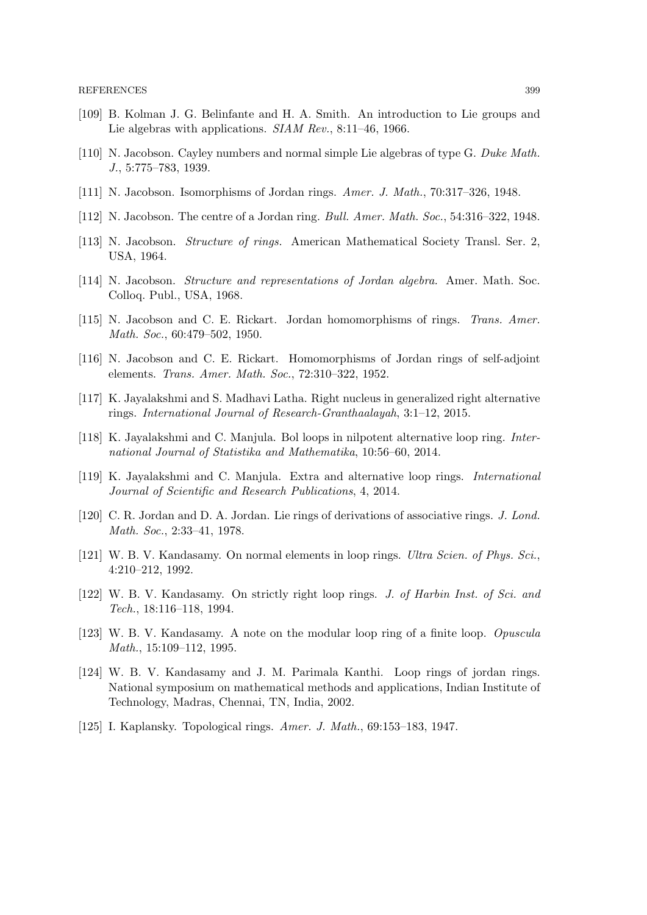- [109] B. Kolman J. G. Belinfante and H. A. Smith. An introduction to Lie groups and Lie algebras with applications. SIAM Rev., 8:11-46, 1966.
- [110] N. Jacobson. Cayley numbers and normal simple Lie algebras of type G. Duke Math. J., 5:775–783, 1939.
- [111] N. Jacobson. Isomorphisms of Jordan rings. Amer. J. Math., 70:317–326, 1948.
- [112] N. Jacobson. The centre of a Jordan ring. Bull. Amer. Math. Soc., 54:316–322, 1948.
- [113] N. Jacobson. Structure of rings. American Mathematical Society Transl. Ser. 2, USA, 1964.
- [114] N. Jacobson. Structure and representations of Jordan algebra. Amer. Math. Soc. Colloq. Publ., USA, 1968.
- [115] N. Jacobson and C. E. Rickart. Jordan homomorphisms of rings. Trans. Amer. Math. Soc., 60:479–502, 1950.
- [116] N. Jacobson and C. E. Rickart. Homomorphisms of Jordan rings of self-adjoint elements. Trans. Amer. Math. Soc., 72:310–322, 1952.
- [117] K. Jayalakshmi and S. Madhavi Latha. Right nucleus in generalized right alternative rings. International Journal of Research-Granthaalayah, 3:1–12, 2015.
- [118] K. Jayalakshmi and C. Manjula. Bol loops in nilpotent alternative loop ring. International Journal of Statistika and Mathematika, 10:56–60, 2014.
- [119] K. Jayalakshmi and C. Manjula. Extra and alternative loop rings. International Journal of Scientific and Research Publications, 4, 2014.
- [120] C. R. Jordan and D. A. Jordan. Lie rings of derivations of associative rings. J. Lond. Math. Soc., 2:33–41, 1978.
- [121] W. B. V. Kandasamy. On normal elements in loop rings. Ultra Scien. of Phys. Sci., 4:210–212, 1992.
- [122] W. B. V. Kandasamy. On strictly right loop rings. J. of Harbin Inst. of Sci. and Tech., 18:116–118, 1994.
- [123] W. B. V. Kandasamy. A note on the modular loop ring of a finite loop. Opuscula Math., 15:109–112, 1995.
- [124] W. B. V. Kandasamy and J. M. Parimala Kanthi. Loop rings of jordan rings. National symposium on mathematical methods and applications, Indian Institute of Technology, Madras, Chennai, TN, India, 2002.
- [125] I. Kaplansky. Topological rings. Amer. J. Math., 69:153–183, 1947.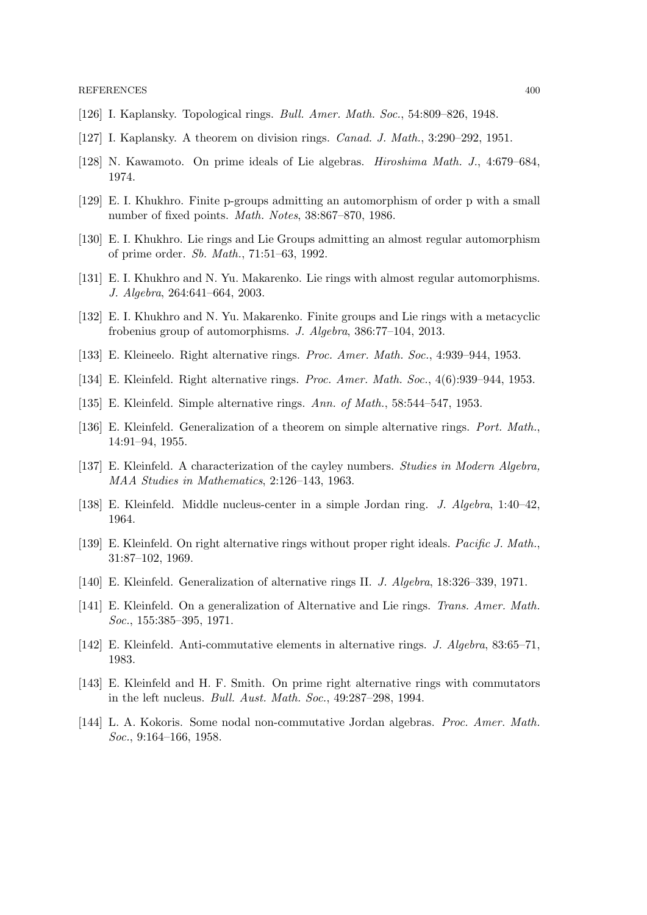- [126] I. Kaplansky. Topological rings. Bull. Amer. Math. Soc., 54:809–826, 1948.
- [127] I. Kaplansky. A theorem on division rings. *Canad. J. Math.*, 3:290–292, 1951.
- [128] N. Kawamoto. On prime ideals of Lie algebras. Hiroshima Math. J., 4:679–684, 1974.
- [129] E. I. Khukhro. Finite p-groups admitting an automorphism of order p with a small number of fixed points. Math. Notes, 38:867–870, 1986.
- [130] E. I. Khukhro. Lie rings and Lie Groups admitting an almost regular automorphism of prime order. Sb. Math., 71:51–63, 1992.
- [131] E. I. Khukhro and N. Yu. Makarenko. Lie rings with almost regular automorphisms. J. Algebra, 264:641–664, 2003.
- [132] E. I. Khukhro and N. Yu. Makarenko. Finite groups and Lie rings with a metacyclic frobenius group of automorphisms. J. Algebra, 386:77–104, 2013.
- [133] E. Kleineelo. Right alternative rings. Proc. Amer. Math. Soc., 4:939–944, 1953.
- [134] E. Kleinfeld. Right alternative rings. Proc. Amer. Math. Soc., 4(6):939–944, 1953.
- [135] E. Kleinfeld. Simple alternative rings. Ann. of Math., 58:544–547, 1953.
- [136] E. Kleinfeld. Generalization of a theorem on simple alternative rings. Port. Math., 14:91–94, 1955.
- [137] E. Kleinfeld. A characterization of the cayley numbers. Studies in Modern Algebra, MAA Studies in Mathematics, 2:126–143, 1963.
- [138] E. Kleinfeld. Middle nucleus-center in a simple Jordan ring. J. Algebra, 1:40–42, 1964.
- [139] E. Kleinfeld. On right alternative rings without proper right ideals. *Pacific J. Math.*, 31:87–102, 1969.
- [140] E. Kleinfeld. Generalization of alternative rings II. J. Algebra, 18:326–339, 1971.
- [141] E. Kleinfeld. On a generalization of Alternative and Lie rings. Trans. Amer. Math. Soc., 155:385–395, 1971.
- [142] E. Kleinfeld. Anti-commutative elements in alternative rings. J. Algebra, 83:65–71, 1983.
- [143] E. Kleinfeld and H. F. Smith. On prime right alternative rings with commutators in the left nucleus. Bull. Aust. Math. Soc., 49:287–298, 1994.
- [144] L. A. Kokoris. Some nodal non-commutative Jordan algebras. Proc. Amer. Math. Soc., 9:164–166, 1958.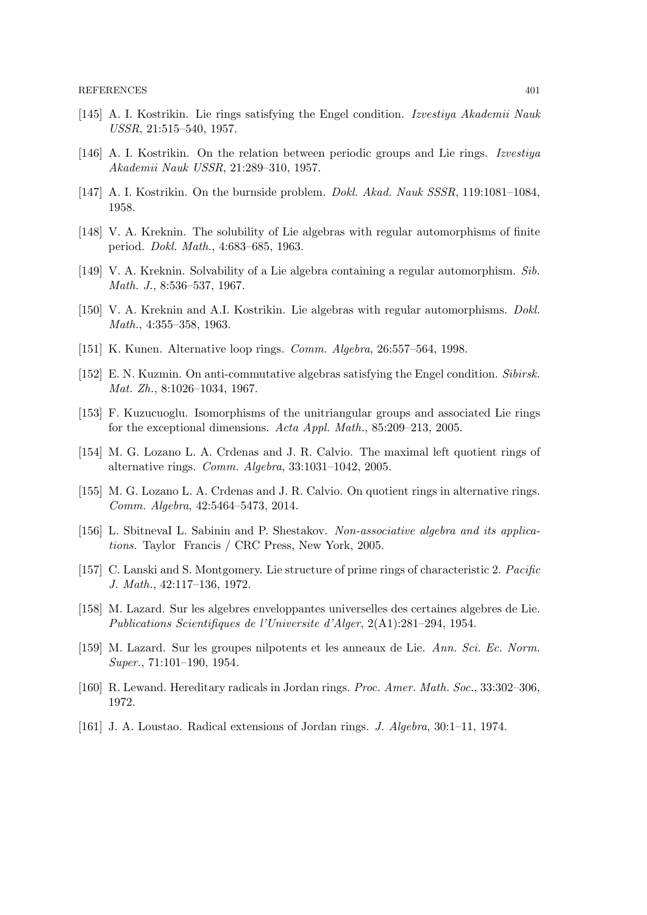- [145] A. I. Kostrikin. Lie rings satisfying the Engel condition. Izvestiya Akademii Nauk USSR, 21:515–540, 1957.
- [146] A. I. Kostrikin. On the relation between periodic groups and Lie rings. Izvestiya Akademii Nauk USSR, 21:289–310, 1957.
- [147] A. I. Kostrikin. On the burnside problem. Dokl. Akad. Nauk SSSR, 119:1081–1084, 1958.
- [148] V. A. Kreknin. The solubility of Lie algebras with regular automorphisms of finite period. Dokl. Math., 4:683–685, 1963.
- [149] V. A. Kreknin. Solvability of a Lie algebra containing a regular automorphism. Sib. Math. J., 8:536–537, 1967.
- [150] V. A. Kreknin and A.I. Kostrikin. Lie algebras with regular automorphisms. Dokl. Math., 4:355–358, 1963.
- [151] K. Kunen. Alternative loop rings. Comm. Algebra, 26:557–564, 1998.
- [152] E. N. Kuzmin. On anti-commutative algebras satisfying the Engel condition. Sibirsk. Mat. Zh., 8:1026–1034, 1967.
- [153] F. Kuzucuoglu. Isomorphisms of the unitriangular groups and associated Lie rings for the exceptional dimensions. Acta Appl. Math., 85:209–213, 2005.
- [154] M. G. Lozano L. A. Crdenas and J. R. Calvio. The maximal left quotient rings of alternative rings. Comm. Algebra, 33:1031–1042, 2005.
- [155] M. G. Lozano L. A. Crdenas and J. R. Calvio. On quotient rings in alternative rings. Comm. Algebra, 42:5464–5473, 2014.
- [156] L. SbitnevaI L. Sabinin and P. Shestakov. Non-associative algebra and its applications. Taylor Francis / CRC Press, New York, 2005.
- [157] C. Lanski and S. Montgomery. Lie structure of prime rings of characteristic 2. Pacific J. Math., 42:117–136, 1972.
- [158] M. Lazard. Sur les algebres enveloppantes universelles des certaines algebres de Lie. Publications Scientifiques de l'Universite d'Alger, 2(A1):281–294, 1954.
- [159] M. Lazard. Sur les groupes nilpotents et les anneaux de Lie. Ann. Sci. Ec. Norm. Super., 71:101–190, 1954.
- [160] R. Lewand. Hereditary radicals in Jordan rings. Proc. Amer. Math. Soc., 33:302–306, 1972.
- [161] J. A. Loustao. Radical extensions of Jordan rings. J. Algebra, 30:1–11, 1974.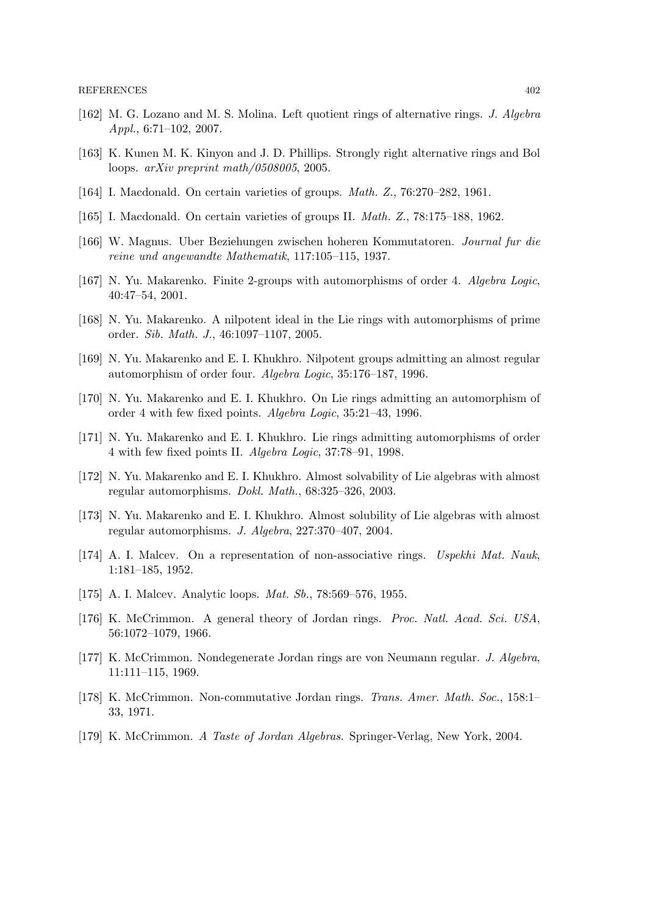- [162] M. G. Lozano and M. S. Molina. Left quotient rings of alternative rings. J. Algebra Appl., 6:71–102, 2007.
- [163] K. Kunen M. K. Kinyon and J. D. Phillips. Strongly right alternative rings and Bol loops. arXiv preprint math/0508005, 2005.
- [164] I. Macdonald. On certain varieties of groups. Math. Z., 76:270–282, 1961.
- [165] I. Macdonald. On certain varieties of groups II. Math. Z., 78:175–188, 1962.
- [166] W. Magnus. Uber Beziehungen zwischen hoheren Kommutatoren. Journal fur die reine und angewandte Mathematik, 117:105–115, 1937.
- [167] N. Yu. Makarenko. Finite 2-groups with automorphisms of order 4. Algebra Logic, 40:47–54, 2001.
- [168] N. Yu. Makarenko. A nilpotent ideal in the Lie rings with automorphisms of prime order. Sib. Math. J., 46:1097–1107, 2005.
- [169] N. Yu. Makarenko and E. I. Khukhro. Nilpotent groups admitting an almost regular automorphism of order four. Algebra Logic, 35:176–187, 1996.
- [170] N. Yu. Makarenko and E. I. Khukhro. On Lie rings admitting an automorphism of order 4 with few fixed points. Algebra Logic, 35:21–43, 1996.
- [171] N. Yu. Makarenko and E. I. Khukhro. Lie rings admitting automorphisms of order 4 with few fixed points II. Algebra Logic, 37:78–91, 1998.
- [172] N. Yu. Makarenko and E. I. Khukhro. Almost solvability of Lie algebras with almost regular automorphisms. Dokl. Math., 68:325–326, 2003.
- [173] N. Yu. Makarenko and E. I. Khukhro. Almost solubility of Lie algebras with almost regular automorphisms. J. Algebra, 227:370–407, 2004.
- [174] A. I. Malcev. On a representation of non-associative rings. Uspekhi Mat. Nauk, 1:181–185, 1952.
- [175] A. I. Malcev. Analytic loops. *Mat. Sb.*, 78:569–576, 1955.
- [176] K. McCrimmon. A general theory of Jordan rings. Proc. Natl. Acad. Sci. USA, 56:1072–1079, 1966.
- [177] K. McCrimmon. Nondegenerate Jordan rings are von Neumann regular. J. Algebra, 11:111–115, 1969.
- [178] K. McCrimmon. Non-commutative Jordan rings. Trans. Amer. Math. Soc., 158:1– 33, 1971.
- [179] K. McCrimmon. A Taste of Jordan Algebras. Springer-Verlag, New York, 2004.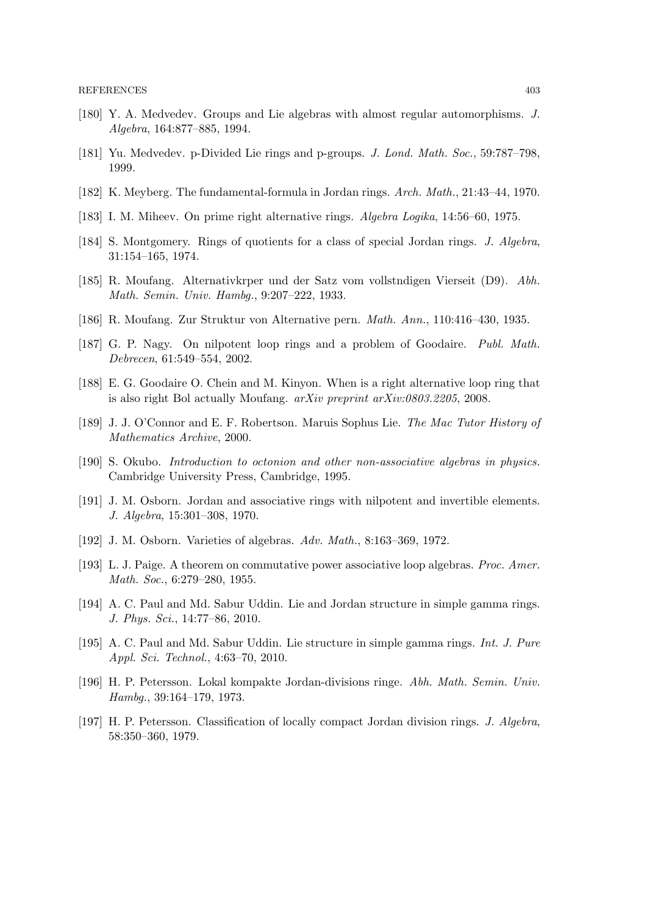- [180] Y. A. Medvedev. Groups and Lie algebras with almost regular automorphisms. J. Algebra, 164:877–885, 1994.
- [181] Yu. Medvedev. p-Divided Lie rings and p-groups. J. Lond. Math. Soc., 59:787–798, 1999.
- [182] K. Meyberg. The fundamental-formula in Jordan rings. Arch. Math., 21:43–44, 1970.
- [183] I. M. Miheev. On prime right alternative rings. Algebra Logika, 14:56–60, 1975.
- [184] S. Montgomery. Rings of quotients for a class of special Jordan rings. J. Algebra, 31:154–165, 1974.
- [185] R. Moufang. Alternativkrper und der Satz vom vollstndigen Vierseit (D9). Abh. Math. Semin. Univ. Hambg., 9:207–222, 1933.
- [186] R. Moufang. Zur Struktur von Alternative pern. Math. Ann., 110:416–430, 1935.
- [187] G. P. Nagy. On nilpotent loop rings and a problem of Goodaire. Publ. Math. Debrecen, 61:549–554, 2002.
- [188] E. G. Goodaire O. Chein and M. Kinyon. When is a right alternative loop ring that is also right Bol actually Moufang. arXiv preprint arXiv:0803.2205, 2008.
- [189] J. J. O'Connor and E. F. Robertson. Maruis Sophus Lie. The Mac Tutor History of Mathematics Archive, 2000.
- [190] S. Okubo. Introduction to octonion and other non-associative algebras in physics. Cambridge University Press, Cambridge, 1995.
- [191] J. M. Osborn. Jordan and associative rings with nilpotent and invertible elements. J. Algebra, 15:301–308, 1970.
- [192] J. M. Osborn. Varieties of algebras. Adv. Math., 8:163–369, 1972.
- [193] L. J. Paige. A theorem on commutative power associative loop algebras. Proc. Amer. Math. Soc., 6:279–280, 1955.
- [194] A. C. Paul and Md. Sabur Uddin. Lie and Jordan structure in simple gamma rings. J. Phys. Sci., 14:77–86, 2010.
- [195] A. C. Paul and Md. Sabur Uddin. Lie structure in simple gamma rings. Int. J. Pure Appl. Sci. Technol., 4:63–70, 2010.
- [196] H. P. Petersson. Lokal kompakte Jordan-divisions ringe. Abh. Math. Semin. Univ. Hambg., 39:164–179, 1973.
- [197] H. P. Petersson. Classification of locally compact Jordan division rings. J. Algebra, 58:350–360, 1979.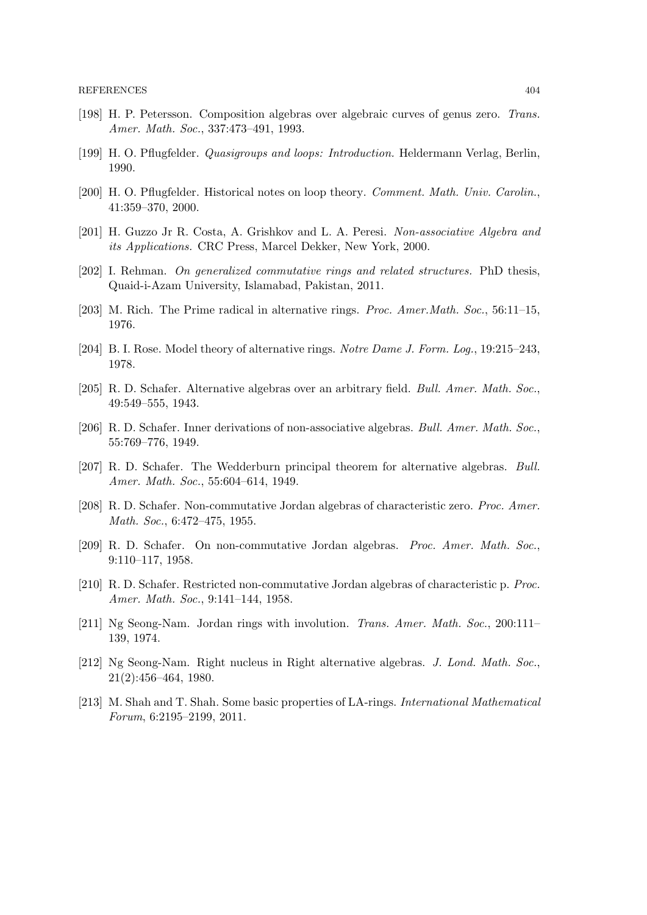- [198] H. P. Petersson. Composition algebras over algebraic curves of genus zero. Trans. Amer. Math. Soc., 337:473–491, 1993.
- [199] H. O. Pflugfelder. Quasigroups and loops: Introduction. Heldermann Verlag, Berlin, 1990.
- [200] H. O. Pflugfelder. Historical notes on loop theory. Comment. Math. Univ. Carolin., 41:359–370, 2000.
- [201] H. Guzzo Jr R. Costa, A. Grishkov and L. A. Peresi. Non-associative Algebra and its Applications. CRC Press, Marcel Dekker, New York, 2000.
- [202] I. Rehman. On generalized commutative rings and related structures. PhD thesis, Quaid-i-Azam University, Islamabad, Pakistan, 2011.
- [203] M. Rich. The Prime radical in alternative rings. Proc. Amer.Math. Soc., 56:11–15, 1976.
- [204] B. I. Rose. Model theory of alternative rings. Notre Dame J. Form. Log., 19:215–243, 1978.
- [205] R. D. Schafer. Alternative algebras over an arbitrary field. Bull. Amer. Math. Soc., 49:549–555, 1943.
- [206] R. D. Schafer. Inner derivations of non-associative algebras. Bull. Amer. Math. Soc., 55:769–776, 1949.
- [207] R. D. Schafer. The Wedderburn principal theorem for alternative algebras. Bull. Amer. Math. Soc., 55:604–614, 1949.
- [208] R. D. Schafer. Non-commutative Jordan algebras of characteristic zero. Proc. Amer. Math. Soc., 6:472–475, 1955.
- [209] R. D. Schafer. On non-commutative Jordan algebras. Proc. Amer. Math. Soc., 9:110–117, 1958.
- [210] R. D. Schafer. Restricted non-commutative Jordan algebras of characteristic p. Proc. Amer. Math. Soc., 9:141–144, 1958.
- [211] Ng Seong-Nam. Jordan rings with involution. Trans. Amer. Math. Soc., 200:111– 139, 1974.
- [212] Ng Seong-Nam. Right nucleus in Right alternative algebras. J. Lond. Math. Soc., 21(2):456–464, 1980.
- [213] M. Shah and T. Shah. Some basic properties of LA-rings. International Mathematical Forum, 6:2195–2199, 2011.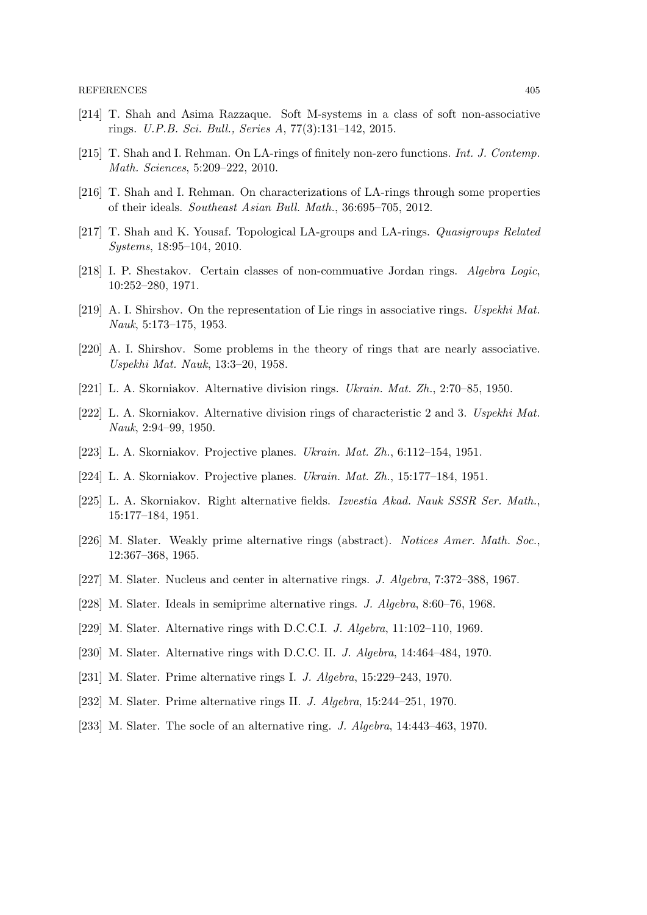- [214] T. Shah and Asima Razzaque. Soft M-systems in a class of soft non-associative rings. U.P.B. Sci. Bull., Series A, 77(3):131–142, 2015.
- [215] T. Shah and I. Rehman. On LA-rings of finitely non-zero functions. Int. J. Contemp. Math. Sciences, 5:209–222, 2010.
- [216] T. Shah and I. Rehman. On characterizations of LA-rings through some properties of their ideals. Southeast Asian Bull. Math., 36:695–705, 2012.
- [217] T. Shah and K. Yousaf. Topological LA-groups and LA-rings. Quasigroups Related Systems, 18:95–104, 2010.
- [218] I. P. Shestakov. Certain classes of non-commuative Jordan rings. Algebra Logic, 10:252–280, 1971.
- [219] A. I. Shirshov. On the representation of Lie rings in associative rings. Uspekhi Mat. Nauk, 5:173–175, 1953.
- [220] A. I. Shirshov. Some problems in the theory of rings that are nearly associative. Uspekhi Mat. Nauk, 13:3–20, 1958.
- [221] L. A. Skorniakov. Alternative division rings. Ukrain. Mat. Zh., 2:70–85, 1950.
- [222] L. A. Skorniakov. Alternative division rings of characteristic 2 and 3. Uspekhi Mat. Nauk, 2:94–99, 1950.
- [223] L. A. Skorniakov. Projective planes. Ukrain. Mat. Zh., 6:112–154, 1951.
- [224] L. A. Skorniakov. Projective planes. Ukrain. Mat. Zh., 15:177–184, 1951.
- [225] L. A. Skorniakov. Right alternative fields. Izvestia Akad. Nauk SSSR Ser. Math., 15:177–184, 1951.
- [226] M. Slater. Weakly prime alternative rings (abstract). Notices Amer. Math. Soc., 12:367–368, 1965.
- [227] M. Slater. Nucleus and center in alternative rings. J. Algebra, 7:372–388, 1967.
- [228] M. Slater. Ideals in semiprime alternative rings. J. Algebra, 8:60–76, 1968.
- [229] M. Slater. Alternative rings with D.C.C.I. J. Algebra, 11:102-110, 1969.
- [230] M. Slater. Alternative rings with D.C.C. II. J. Algebra, 14:464–484, 1970.
- [231] M. Slater. Prime alternative rings I. J. Algebra, 15:229–243, 1970.
- [232] M. Slater. Prime alternative rings II. J. Algebra, 15:244–251, 1970.
- [233] M. Slater. The socle of an alternative ring. J. Algebra, 14:443–463, 1970.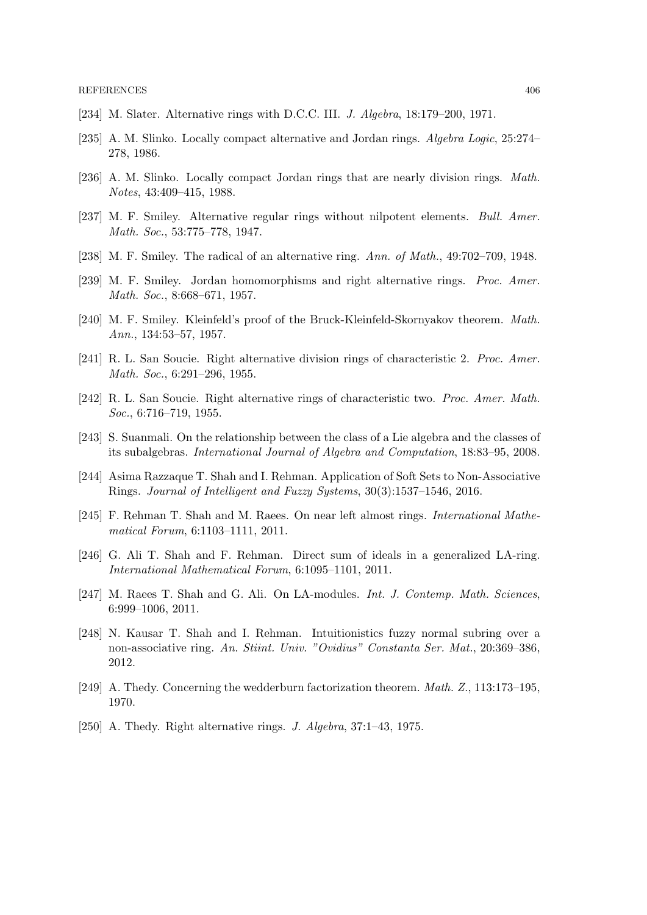- [234] M. Slater. Alternative rings with D.C.C. III. J. Algebra, 18:179–200, 1971.
- [235] A. M. Slinko. Locally compact alternative and Jordan rings. Algebra Logic, 25:274– 278, 1986.
- [236] A. M. Slinko. Locally compact Jordan rings that are nearly division rings. Math. Notes, 43:409–415, 1988.
- [237] M. F. Smiley. Alternative regular rings without nilpotent elements. Bull. Amer. Math. Soc., 53:775–778, 1947.
- [238] M. F. Smiley. The radical of an alternative ring. Ann. of Math., 49:702–709, 1948.
- [239] M. F. Smiley. Jordan homomorphisms and right alternative rings. Proc. Amer. Math. Soc., 8:668–671, 1957.
- [240] M. F. Smiley. Kleinfeld's proof of the Bruck-Kleinfeld-Skornyakov theorem. Math. Ann., 134:53–57, 1957.
- [241] R. L. San Soucie. Right alternative division rings of characteristic 2. Proc. Amer. Math. Soc., 6:291–296, 1955.
- [242] R. L. San Soucie. Right alternative rings of characteristic two. Proc. Amer. Math. Soc., 6:716–719, 1955.
- [243] S. Suanmali. On the relationship between the class of a Lie algebra and the classes of its subalgebras. International Journal of Algebra and Computation, 18:83–95, 2008.
- [244] Asima Razzaque T. Shah and I. Rehman. Application of Soft Sets to Non-Associative Rings. Journal of Intelligent and Fuzzy Systems, 30(3):1537–1546, 2016.
- [245] F. Rehman T. Shah and M. Raees. On near left almost rings. International Mathematical Forum, 6:1103–1111, 2011.
- [246] G. Ali T. Shah and F. Rehman. Direct sum of ideals in a generalized LA-ring. International Mathematical Forum, 6:1095–1101, 2011.
- [247] M. Raees T. Shah and G. Ali. On LA-modules. Int. J. Contemp. Math. Sciences, 6:999–1006, 2011.
- [248] N. Kausar T. Shah and I. Rehman. Intuitionistics fuzzy normal subring over a non-associative ring. An. Stiint. Univ. "Ovidius" Constanta Ser. Mat., 20:369–386, 2012.
- [249] A. Thedy. Concerning the wedderburn factorization theorem. Math. Z., 113:173–195, 1970.
- [250] A. Thedy. Right alternative rings. J. Algebra, 37:1–43, 1975.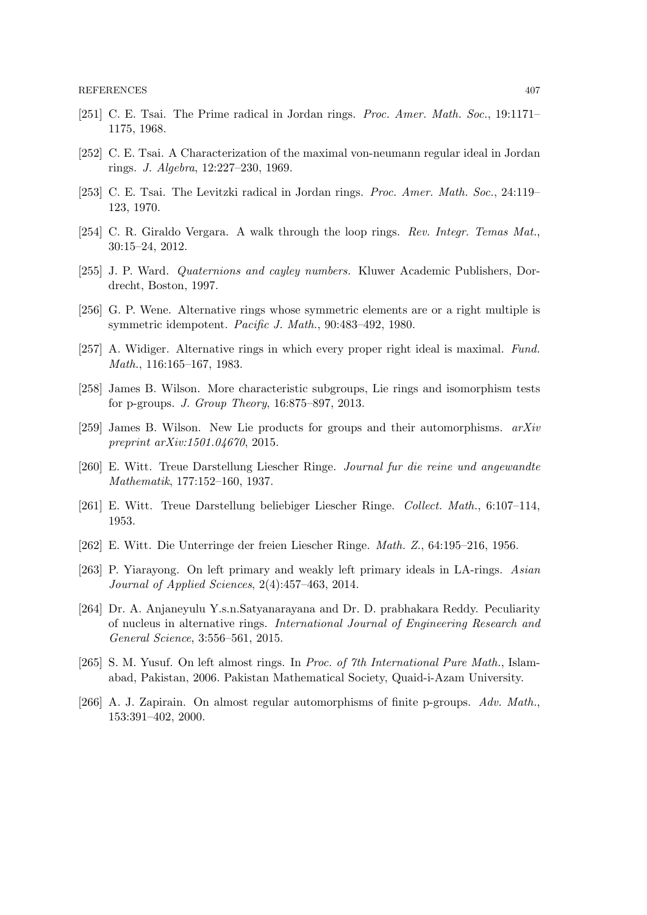- [251] C. E. Tsai. The Prime radical in Jordan rings. Proc. Amer. Math. Soc., 19:1171– 1175, 1968.
- [252] C. E. Tsai. A Characterization of the maximal von-neumann regular ideal in Jordan rings. J. Algebra, 12:227–230, 1969.
- [253] C. E. Tsai. The Levitzki radical in Jordan rings. Proc. Amer. Math. Soc., 24:119– 123, 1970.
- [254] C. R. Giraldo Vergara. A walk through the loop rings. Rev. Integr. Temas Mat., 30:15–24, 2012.
- [255] J. P. Ward. Quaternions and cayley numbers. Kluwer Academic Publishers, Dordrecht, Boston, 1997.
- [256] G. P. Wene. Alternative rings whose symmetric elements are or a right multiple is symmetric idempotent. Pacific J. Math., 90:483–492, 1980.
- [257] A. Widiger. Alternative rings in which every proper right ideal is maximal. Fund. Math., 116:165–167, 1983.
- [258] James B. Wilson. More characteristic subgroups, Lie rings and isomorphism tests for p-groups. J. Group Theory, 16:875–897, 2013.
- [259] James B. Wilson. New Lie products for groups and their automorphisms. arXiv preprint arXiv:1501.04670, 2015.
- [260] E. Witt. Treue Darstellung Liescher Ringe. Journal fur die reine und angewandte Mathematik, 177:152–160, 1937.
- [261] E. Witt. Treue Darstellung beliebiger Liescher Ringe. Collect. Math., 6:107–114, 1953.
- [262] E. Witt. Die Unterringe der freien Liescher Ringe. Math. Z., 64:195–216, 1956.
- [263] P. Yiarayong. On left primary and weakly left primary ideals in LA-rings. Asian Journal of Applied Sciences, 2(4):457–463, 2014.
- [264] Dr. A. Anjaneyulu Y.s.n.Satyanarayana and Dr. D. prabhakara Reddy. Peculiarity of nucleus in alternative rings. International Journal of Engineering Research and General Science, 3:556–561, 2015.
- [265] S. M. Yusuf. On left almost rings. In Proc. of 7th International Pure Math., Islamabad, Pakistan, 2006. Pakistan Mathematical Society, Quaid-i-Azam University.
- [266] A. J. Zapirain. On almost regular automorphisms of finite p-groups. Adv. Math., 153:391–402, 2000.